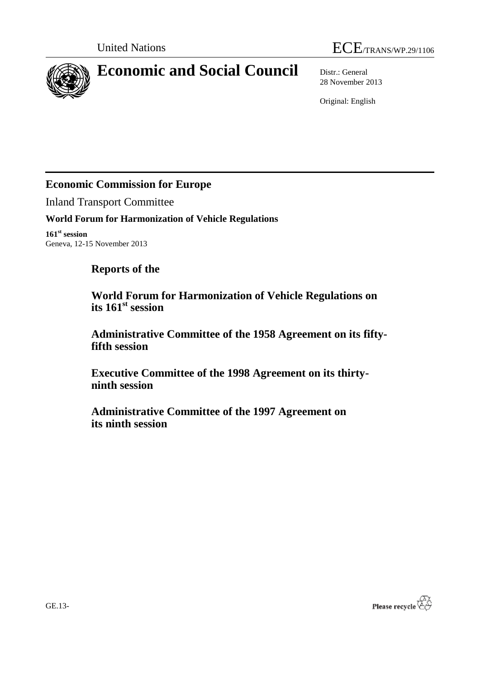



# **Economic and Social Council** Distr.: General

28 November 2013

Original: English

# **Economic Commission for Europe**

Inland Transport Committee

# **World Forum for Harmonization of Vehicle Regulations**

**161st session** Geneva, 12-15 November 2013

# **Reports of the**

**World Forum for Harmonization of Vehicle Regulations on its 161st session**

**Administrative Committee of the 1958 Agreement on its fiftyfifth session**

**Executive Committee of the 1998 Agreement on its thirtyninth session**

**Administrative Committee of the 1997 Agreement on its ninth session**

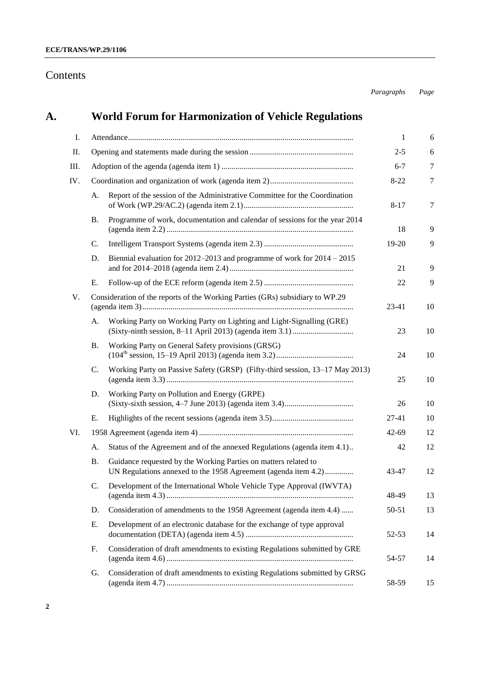# Contents

# **A. [World Forum for Harmonization of Vehicle Regulations](#page-5-0)**

| Ι.  |    |                                                                                                                                   | 1         | 6      |
|-----|----|-----------------------------------------------------------------------------------------------------------------------------------|-----------|--------|
| II. |    |                                                                                                                                   | $2 - 5$   | 6      |
| Ш.  |    |                                                                                                                                   | $6 - 7$   | 7      |
| IV. |    |                                                                                                                                   | $8 - 22$  | 7      |
|     | A. | Report of the session of the Administrative Committee for the Coordination                                                        | $8 - 17$  | $\tau$ |
|     | В. | Programme of work, documentation and calendar of sessions for the year 2014                                                       | 18        | 9      |
|     | C. |                                                                                                                                   | 19-20     | 9      |
|     | D. | Biennial evaluation for $2012-2013$ and programme of work for $2014 - 2015$                                                       | 21        | 9      |
|     | Е. |                                                                                                                                   | 22        | 9      |
| V.  |    | Consideration of the reports of the Working Parties (GRs) subsidiary to WP.29                                                     | 23-41     | 10     |
|     | A. | Working Party on Working Party on Lighting and Light-Signalling (GRE)                                                             | 23        | 10     |
|     | Β. | Working Party on General Safety provisions (GRSG)                                                                                 | 24        | 10     |
|     | C. | Working Party on Passive Safety (GRSP) (Fifty-third session, 13-17 May 2013)                                                      | 25        | 10     |
|     | D. | Working Party on Pollution and Energy (GRPE)                                                                                      | 26        | 10     |
|     | Е. |                                                                                                                                   | 27-41     | 10     |
| VI. |    |                                                                                                                                   | $42 - 69$ | 12     |
|     | А. | Status of the Agreement and of the annexed Regulations (agenda item 4.1)                                                          | 42        | 12     |
|     | Β. | Guidance requested by the Working Parties on matters related to<br>UN Regulations annexed to the 1958 Agreement (agenda item 4.2) | 43-47     | 12     |
|     | C. | Development of the International Whole Vehicle Type Approval (IWVTA)                                                              | 48-49     | 13     |
|     | D. | Consideration of amendments to the 1958 Agreement (agenda item 4.4)                                                               | 50-51     | 13     |
|     | Е. | Development of an electronic database for the exchange of type approval                                                           | 52-53     | 14     |
|     | F. | Consideration of draft amendments to existing Regulations submitted by GRE                                                        | 54-57     | 14     |
|     | G. | Consideration of draft amendments to existing Regulations submitted by GRSG                                                       | 58-59     | 15     |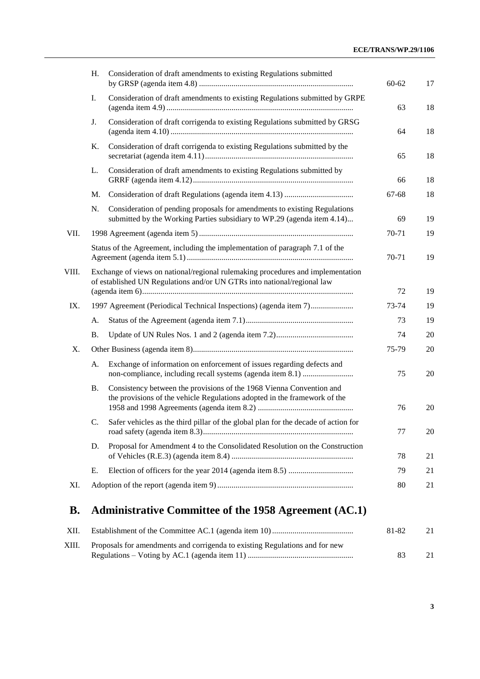|              | H.                                                                                                                                                         | Consideration of draft amendments to existing Regulations submitted                                                                                  | $60 - 62$ | 17 |
|--------------|------------------------------------------------------------------------------------------------------------------------------------------------------------|------------------------------------------------------------------------------------------------------------------------------------------------------|-----------|----|
|              | I.                                                                                                                                                         | Consideration of draft amendments to existing Regulations submitted by GRPE                                                                          | 63        | 18 |
|              | J.                                                                                                                                                         | Consideration of draft corrigenda to existing Regulations submitted by GRSG                                                                          | 64        | 18 |
|              | K.                                                                                                                                                         | Consideration of draft corrigenda to existing Regulations submitted by the                                                                           | 65        | 18 |
|              | L.                                                                                                                                                         | Consideration of draft amendments to existing Regulations submitted by                                                                               | 66        | 18 |
|              | M.                                                                                                                                                         |                                                                                                                                                      | 67-68     | 18 |
|              | N.                                                                                                                                                         | Consideration of pending proposals for amendments to existing Regulations<br>submitted by the Working Parties subsidiary to WP.29 (agenda item 4.14) | 69        | 19 |
| VII.         |                                                                                                                                                            |                                                                                                                                                      | 70-71     | 19 |
|              |                                                                                                                                                            | Status of the Agreement, including the implementation of paragraph 7.1 of the                                                                        | 70-71     | 19 |
| VIII.        | Exchange of views on national/regional rulemaking procedures and implementation<br>of established UN Regulations and/or UN GTRs into national/regional law | 72                                                                                                                                                   | 19        |    |
| IX.          |                                                                                                                                                            |                                                                                                                                                      | 73-74     | 19 |
|              |                                                                                                                                                            | 1997 Agreement (Periodical Technical Inspections) (agenda item 7)                                                                                    |           |    |
|              | A.                                                                                                                                                         |                                                                                                                                                      | 73        | 19 |
|              | <b>B.</b>                                                                                                                                                  |                                                                                                                                                      | 74        | 20 |
| X.           |                                                                                                                                                            |                                                                                                                                                      | 75-79     | 20 |
|              | А.                                                                                                                                                         | Exchange of information on enforcement of issues regarding defects and                                                                               | 75        | 20 |
|              | <b>B.</b>                                                                                                                                                  | Consistency between the provisions of the 1968 Vienna Convention and<br>the provisions of the vehicle Regulations adopted in the framework of the    | 76        | 20 |
|              | C.                                                                                                                                                         | Safer vehicles as the third pillar of the global plan for the decade of action for                                                                   | 77        | 20 |
|              | D.                                                                                                                                                         | Proposal for Amendment 4 to the Consolidated Resolution on the Construction                                                                          | 78        | 21 |
|              | Е.                                                                                                                                                         |                                                                                                                                                      | 79        | 21 |
| XI.          |                                                                                                                                                            |                                                                                                                                                      | 80        | 21 |
| $\mathbf{p}$ |                                                                                                                                                            | Administrative Committee of the 1058 Agreement $(\Lambda \Gamma 1)$                                                                                  |           |    |

# **B. [Administrative Committee of the 1958 Agreement \(AC.1\)](#page-20-3)**

| XII.  |                                                                             | 81-82 | 21 |
|-------|-----------------------------------------------------------------------------|-------|----|
| XIII. | Proposals for amendments and corrigenda to existing Regulations and for new |       |    |
|       |                                                                             | 83    | 21 |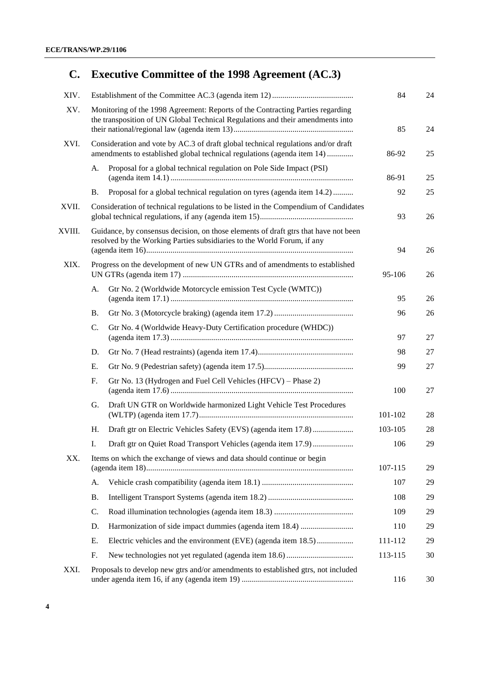# **C. [Executive Committee of the 1998 Agreement \(AC.3\)](#page-23-0)**

| XIV.   |                                                                                                                                                                  | 84                                                                                                                                                           | 24      |    |
|--------|------------------------------------------------------------------------------------------------------------------------------------------------------------------|--------------------------------------------------------------------------------------------------------------------------------------------------------------|---------|----|
| XV.    | Monitoring of the 1998 Agreement: Reports of the Contracting Parties regarding<br>the transposition of UN Global Technical Regulations and their amendments into | 85                                                                                                                                                           | 24      |    |
| XVI.   |                                                                                                                                                                  | Consideration and vote by AC.3 of draft global technical regulations and/or draft<br>amendments to established global technical regulations (agenda item 14) | 86-92   | 25 |
|        | A.                                                                                                                                                               | Proposal for a global technical regulation on Pole Side Impact (PSI)                                                                                         | 86-91   | 25 |
|        | В.                                                                                                                                                               | Proposal for a global technical regulation on tyres (agenda item 14.2)                                                                                       | 92      | 25 |
| XVII.  |                                                                                                                                                                  | Consideration of technical regulations to be listed in the Compendium of Candidates                                                                          | 93      | 26 |
| XVIII. | Guidance, by consensus decision, on those elements of draft gtrs that have not been<br>resolved by the Working Parties subsidiaries to the World Forum, if any   | 94                                                                                                                                                           | 26      |    |
| XIX.   | Progress on the development of new UN GTRs and of amendments to established                                                                                      | 95-106                                                                                                                                                       | 26      |    |
|        | А.                                                                                                                                                               | Gtr No. 2 (Worldwide Motorcycle emission Test Cycle (WMTC))                                                                                                  | 95      | 26 |
|        | Β.                                                                                                                                                               |                                                                                                                                                              | 96      | 26 |
|        | C.                                                                                                                                                               | Gtr No. 4 (Worldwide Heavy-Duty Certification procedure (WHDC))                                                                                              | 97      | 27 |
|        | D.                                                                                                                                                               |                                                                                                                                                              | 98      | 27 |
|        | Е.                                                                                                                                                               |                                                                                                                                                              | 99      | 27 |
|        | F.                                                                                                                                                               | Gtr No. 13 (Hydrogen and Fuel Cell Vehicles (HFCV) – Phase 2)                                                                                                | 100     | 27 |
|        | G.                                                                                                                                                               | Draft UN GTR on Worldwide harmonized Light Vehicle Test Procedures                                                                                           | 101-102 | 28 |
|        | Η.                                                                                                                                                               |                                                                                                                                                              | 103-105 | 28 |
|        | I.                                                                                                                                                               | Draft gtr on Quiet Road Transport Vehicles (agenda item 17.9)                                                                                                | 106     | 29 |
| XX.    |                                                                                                                                                                  | Items on which the exchange of views and data should continue or begin                                                                                       | 107-115 | 29 |
|        | А.                                                                                                                                                               |                                                                                                                                                              | 107     | 29 |
|        | Β.                                                                                                                                                               |                                                                                                                                                              | 108     | 29 |
|        | C.                                                                                                                                                               |                                                                                                                                                              | 109     | 29 |
|        | D.                                                                                                                                                               |                                                                                                                                                              | 110     | 29 |
|        | Е.                                                                                                                                                               | Electric vehicles and the environment (EVE) (agenda item 18.5)                                                                                               | 111-112 | 29 |
|        | F.                                                                                                                                                               |                                                                                                                                                              | 113-115 | 30 |
| XXI.   |                                                                                                                                                                  | Proposals to develop new gtrs and/or amendments to established gtrs, not included                                                                            | 116     | 30 |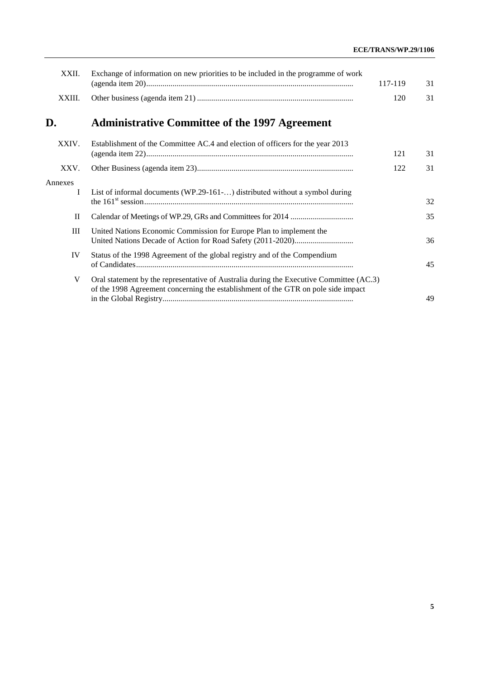### **ECE/TRANS/WP.29/1106**

| XXII.        | Exchange of information on new priorities to be included in the programme of work                                                                                            | 117-119 | 31 |
|--------------|------------------------------------------------------------------------------------------------------------------------------------------------------------------------------|---------|----|
| XXIII.       |                                                                                                                                                                              | 120     | 31 |
| D.           | <b>Administrative Committee of the 1997 Agreement</b>                                                                                                                        |         |    |
| XXIV.        | Establishment of the Committee AC.4 and election of officers for the year 2013                                                                                               | 121     | 31 |
| XXV.         |                                                                                                                                                                              | 122     | 31 |
| Annexes<br>I | List of informal documents (WP.29-161-) distributed without a symbol during                                                                                                  |         | 32 |
| П            |                                                                                                                                                                              |         | 35 |
| Ш            | United Nations Economic Commission for Europe Plan to implement the                                                                                                          |         | 36 |
| IV           | Status of the 1998 Agreement of the global registry and of the Compendium                                                                                                    |         | 45 |
| V            | Oral statement by the representative of Australia during the Executive Committee (AC.3)<br>of the 1998 Agreement concerning the establishment of the GTR on pole side impact |         | 49 |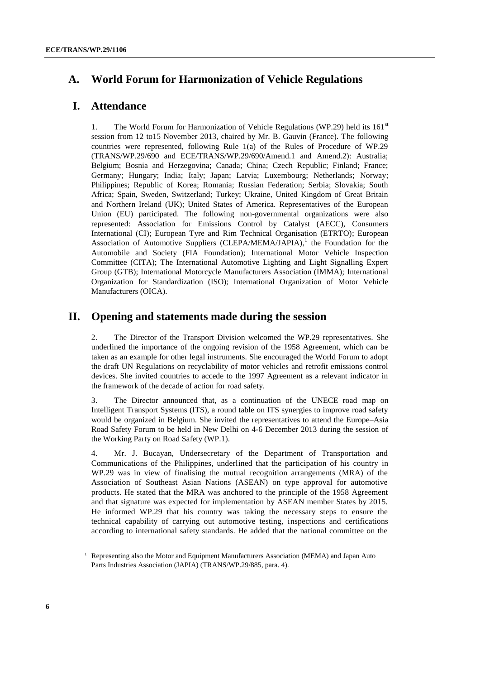# <span id="page-5-0"></span>**A. World Forum for Harmonization of Vehicle Regulations**

### <span id="page-5-1"></span>**I. Attendance**

1. The World Forum for Harmonization of Vehicle Regulations (WP.29) held its  $161<sup>st</sup>$ session from 12 to15 November 2013, chaired by Mr. B. Gauvin (France). The following countries were represented, following Rule 1(a) of the Rules of Procedure of WP.29 (TRANS/WP.29/690 and ECE/TRANS/WP.29/690/Amend.1 and Amend.2): Australia; Belgium; Bosnia and Herzegovina; Canada; China; Czech Republic; Finland; France; Germany; Hungary; India; Italy; Japan; Latvia; Luxembourg; Netherlands; Norway; Philippines; Republic of Korea; Romania; Russian Federation; Serbia; Slovakia; South Africa; Spain, Sweden, Switzerland; Turkey; Ukraine, United Kingdom of Great Britain and Northern Ireland (UK); United States of America. Representatives of the European Union (EU) participated. The following non-governmental organizations were also represented: Association for Emissions Control by Catalyst (AECC), Consumers International (CI); European Tyre and Rim Technical Organisation (ETRTO); European Association of Automotive Suppliers (CLEPA/MEMA/JAPIA),<sup>1</sup> the Foundation for the Automobile and Society (FIA Foundation); International Motor Vehicle Inspection Committee (CITA); The International Automotive Lighting and Light Signalling Expert Group (GTB); International Motorcycle Manufacturers Association (IMMA); International Organization for Standardization (ISO); International Organization of Motor Vehicle Manufacturers (OICA).

### <span id="page-5-2"></span>**II. Opening and statements made during the session**

2. The Director of the Transport Division welcomed the WP.29 representatives. She underlined the importance of the ongoing revision of the 1958 Agreement, which can be taken as an example for other legal instruments. She encouraged the World Forum to adopt the draft UN Regulations on recyclability of motor vehicles and retrofit emissions control devices. She invited countries to accede to the 1997 Agreement as a relevant indicator in the framework of the decade of action for road safety.

3. The Director announced that, as a continuation of the UNECE road map on Intelligent Transport Systems (ITS), a round table on ITS synergies to improve road safety would be organized in Belgium. She invited the representatives to attend the Europe–Asia Road Safety Forum to be held in New Delhi on 4-6 December 2013 during the session of the Working Party on Road Safety (WP.1).

4. Mr. J. Bucayan, Undersecretary of the Department of Transportation and Communications of the Philippines, underlined that the participation of his country in WP.29 was in view of finalising the mutual recognition arrangements (MRA) of the Association of Southeast Asian Nations (ASEAN) on type approval for automotive products. He stated that the MRA was anchored to the principle of the 1958 Agreement and that signature was expected for implementation by ASEAN member States by 2015. He informed WP.29 that his country was taking the necessary steps to ensure the technical capability of carrying out automotive testing, inspections and certifications according to international safety standards. He added that the national committee on the

<sup>&</sup>lt;sup>1</sup> Representing also the Motor and Equipment Manufacturers Association (MEMA) and Japan Auto Parts Industries Association (JAPIA) (TRANS/WP.29/885, para. 4).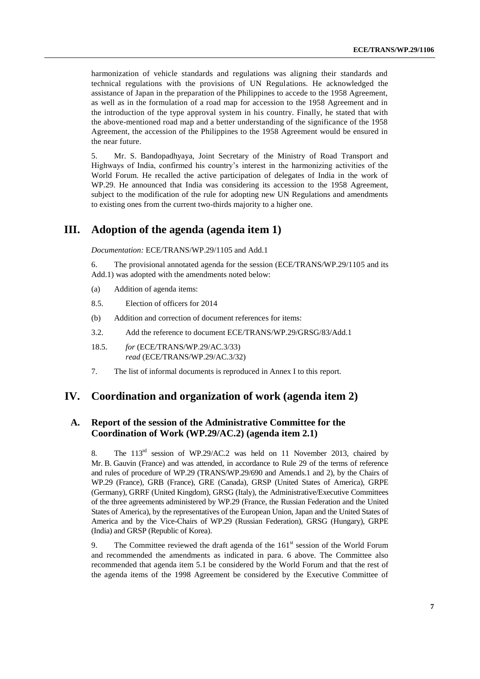harmonization of vehicle standards and regulations was aligning their standards and technical regulations with the provisions of UN Regulations. He acknowledged the assistance of Japan in the preparation of the Philippines to accede to the 1958 Agreement, as well as in the formulation of a road map for accession to the 1958 Agreement and in the introduction of the type approval system in his country. Finally, he stated that with the above-mentioned road map and a better understanding of the significance of the 1958 Agreement, the accession of the Philippines to the 1958 Agreement would be ensured in the near future.

5. Mr. S. Bandopadhyaya, Joint Secretary of the Ministry of Road Transport and Highways of India, confirmed his country's interest in the harmonizing activities of the World Forum. He recalled the active participation of delegates of India in the work of WP.29. He announced that India was considering its accession to the 1958 Agreement, subject to the modification of the rule for adopting new UN Regulations and amendments to existing ones from the current two-thirds majority to a higher one.

### <span id="page-6-0"></span>**III. Adoption of the agenda (agenda item 1)**

*Documentation:* ECE/TRANS/WP.29/1105 and Add.1

6. The provisional annotated agenda for the session (ECE/TRANS/WP.29/1105 and its Add.1) was adopted with the amendments noted below:

- (a) Addition of agenda items:
- 8.5. Election of officers for 2014
- (b) Addition and correction of document references for items:
- 3.2. Add the reference to document ECE/TRANS/WP.29/GRSG/83/Add.1
- 18.5. *for* (ECE/TRANS/WP.29/AC.3/33) *read* (ECE/TRANS/WP.29/AC.3/32)
- 7. The list of informal documents is reproduced in Annex I to this report.

### <span id="page-6-1"></span>**IV. Coordination and organization of work (agenda item 2)**

### <span id="page-6-2"></span>**A. Report of the session of the Administrative Committee for the Coordination of Work (WP.29/AC.2) (agenda item 2.1)**

8. The 113<sup>rd</sup> session of WP.29/AC.2 was held on 11 November 2013, chaired by Mr. B. Gauvin (France) and was attended, in accordance to Rule 29 of the terms of reference and rules of procedure of WP.29 (TRANS/WP.29/690 and Amends.1 and 2), by the Chairs of WP.29 (France), GRB (France), GRE (Canada), GRSP (United States of America), GRPE (Germany), GRRF (United Kingdom), GRSG (Italy), the Administrative/Executive Committees of the three agreements administered by WP.29 (France, the Russian Federation and the United States of America), by the representatives of the European Union, Japan and the United States of America and by the Vice-Chairs of WP.29 (Russian Federation), GRSG (Hungary), GRPE (India) and GRSP (Republic of Korea).

9. The Committee reviewed the draft agenda of the  $161<sup>st</sup>$  session of the World Forum and recommended the amendments as indicated in para. 6 above. The Committee also recommended that agenda item 5.1 be considered by the World Forum and that the rest of the agenda items of the 1998 Agreement be considered by the Executive Committee of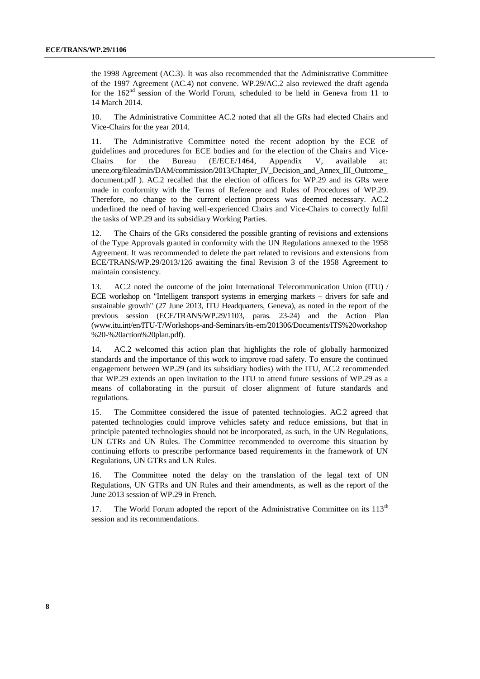the 1998 Agreement (AC.3). It was also recommended that the Administrative Committee of the 1997 Agreement (AC.4) not convene. WP.29/AC.2 also reviewed the draft agenda for the  $162<sup>nd</sup>$  session of the World Forum, scheduled to be held in Geneva from 11 to 14 March 2014.

10. The Administrative Committee AC.2 noted that all the GRs had elected Chairs and Vice-Chairs for the year 2014.

11. The Administrative Committee noted the recent adoption by the ECE of guidelines and procedures for ECE bodies and for the election of the Chairs and Vice-Chairs for the Bureau (E/ECE/1464, Appendix V, available at: [unece.org/fileadmin/DAM/commission/2013/Chapter\\_IV\\_Decision\\_and\\_Annex\\_III\\_Outcome\\_](http://www.unece.org/fileadmin/DAM/commission/2013/Chapter_IV_Decision_and_Annex_III_Outcome_document.pdf) [document.pdf](http://www.unece.org/fileadmin/DAM/commission/2013/Chapter_IV_Decision_and_Annex_III_Outcome_document.pdf) ). AC.2 recalled that the election of officers for WP.29 and its GRs were made in conformity with the Terms of Reference and Rules of Procedures of WP.29. Therefore, no change to the current election process was deemed necessary. AC.2 underlined the need of having well-experienced Chairs and Vice-Chairs to correctly fulfil the tasks of WP.29 and its subsidiary Working Parties.

The Chairs of the GRs considered the possible granting of revisions and extensions of the Type Approvals granted in conformity with the UN Regulations annexed to the 1958 Agreement. It was recommended to delete the part related to revisions and extensions from ECE/TRANS/WP.29/2013/126 awaiting the final Revision 3 of the 1958 Agreement to maintain consistency.

13. AC.2 noted the outcome of the joint International Telecommunication Union (ITU) / ECE workshop on "Intelligent transport systems in emerging markets – drivers for safe and sustainable growth" (27 June 2013, ITU Headquarters, Geneva), as noted in the report of the previous session (ECE/TRANS/WP.29/1103, paras. 23-24) and the Action Plan [\(www.itu.int/en/ITU-T/Workshops-and-Seminars/its-em/201306/Documents/ITS%20workshop](http://www.itu.int/en/ITU-T/Workshops-and-Seminars/its-em/201306/Documents/ITS%20workshop) %20-%20action%20plan.pdf).

14. AC.2 welcomed this action plan that highlights the role of globally harmonized standards and the importance of this work to improve road safety. To ensure the continued engagement between WP.29 (and its subsidiary bodies) with the ITU, AC.2 recommended that WP.29 extends an open invitation to the ITU to attend future sessions of WP.29 as a means of collaborating in the pursuit of closer alignment of future standards and regulations.

15. The Committee considered the issue of patented technologies. AC.2 agreed that patented technologies could improve vehicles safety and reduce emissions, but that in principle patented technologies should not be incorporated, as such, in the UN Regulations, UN GTRs and UN Rules. The Committee recommended to overcome this situation by continuing efforts to prescribe performance based requirements in the framework of UN Regulations, UN GTRs and UN Rules.

16. The Committee noted the delay on the translation of the legal text of UN Regulations, UN GTRs and UN Rules and their amendments, as well as the report of the June 2013 session of WP.29 in French.

17. The World Forum adopted the report of the Administrative Committee on its  $113<sup>th</sup>$ session and its recommendations.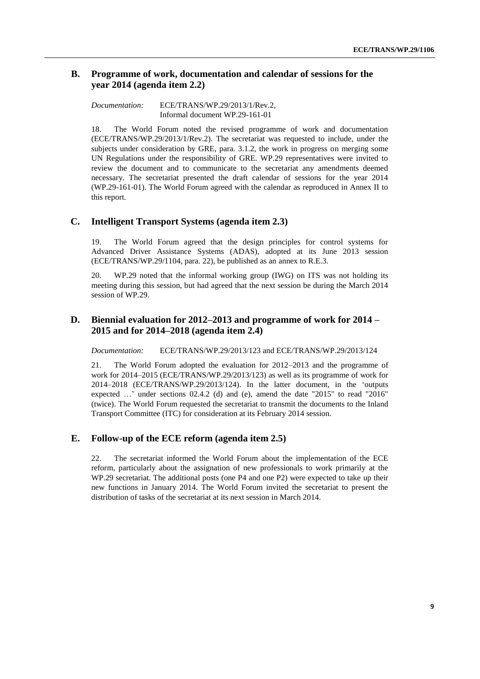### <span id="page-8-0"></span>**B. Programme of work, documentation and calendar of sessions for the year 2014 (agenda item 2.2)**

*Documentation:* ECE/TRANS/WP.29/2013/1/Rev.2, Informal document WP.29-161-01

18. The World Forum noted the revised programme of work and documentation (ECE/TRANS/WP.29/2013/1/Rev.2). The secretariat was requested to include, under the subjects under consideration by GRE, para. 3.1.2, the work in progress on merging some UN Regulations under the responsibility of GRE. WP.29 representatives were invited to review the document and to communicate to the secretariat any amendments deemed necessary. The secretariat presented the draft calendar of sessions for the year 2014 (WP.29-161-01). The World Forum agreed with the calendar as reproduced in Annex II to this report.

### <span id="page-8-1"></span>**C. Intelligent Transport Systems (agenda item 2.3)**

19. The World Forum agreed that the design principles for control systems for Advanced Driver Assistance Systems (ADAS), adopted at its June 2013 session (ECE/TRANS/WP.29/1104, para. 22), be published as an annex to R.E.3.

20. WP.29 noted that the informal working group (IWG) on ITS was not holding its meeting during this session, but had agreed that the next session be during the March 2014 session of WP.29.

### <span id="page-8-2"></span>**D. Biennial evaluation for 2012–2013 and programme of work for 2014 – 2015 and for 2014–2018 (agenda item 2.4)**

*Documentation:* ECE/TRANS/WP.29/2013/123 and ECE/TRANS/WP.29/2013/124

21. The World Forum adopted the evaluation for 2012–2013 and the programme of work for 2014–2015 (ECE/TRANS/WP.29/2013/123) as well as its programme of work for 2014–2018 (ECE/TRANS/WP.29/2013/124). In the latter document, in the 'outputs expected …' under sections 02.4.2 (d) and (e), amend the date "2015" to read "2016" (twice). The World Forum requested the secretariat to transmit the documents to the Inland Transport Committee (ITC) for consideration at its February 2014 session.

### <span id="page-8-3"></span>**E. Follow-up of the ECE reform (agenda item 2.5)**

22. The secretariat informed the World Forum about the implementation of the ECE reform, particularly about the assignation of new professionals to work primarily at the WP.29 secretariat. The additional posts (one P4 and one P2) were expected to take up their new functions in January 2014. The World Forum invited the secretariat to present the distribution of tasks of the secretariat at its next session in March 2014.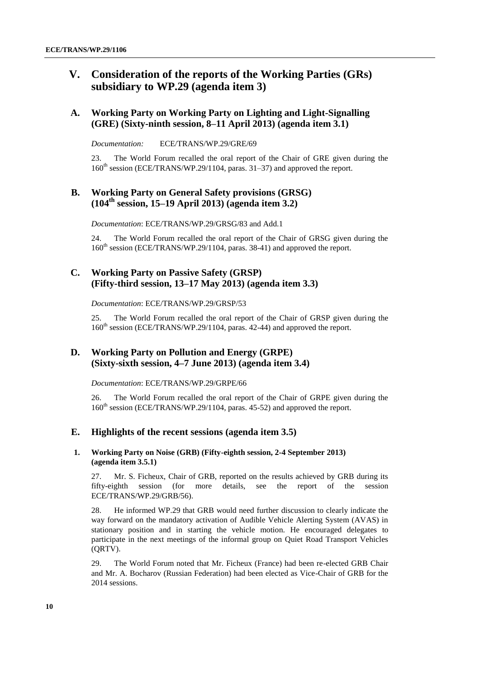# <span id="page-9-0"></span>**V. Consideration of the reports of the Working Parties (GRs) subsidiary to WP.29 (agenda item 3)**

### <span id="page-9-1"></span>**A. Working Party on Working Party on Lighting and Light-Signalling (GRE) (Sixty-ninth session, 8–11 April 2013) (agenda item 3.1)**

*Documentation:* ECE/TRANS/WP.29/GRE/69

23. The World Forum recalled the oral report of the Chair of GRE given during the 160<sup>th</sup> session (ECE/TRANS/WP.29/1104, paras. 31–37) and approved the report.

### <span id="page-9-2"></span>**B. Working Party on General Safety provisions (GRSG) (104th session, 15–19 April 2013) (agenda item 3.2)**

*Documentation*: ECE/TRANS/WP.29/GRSG/83 and Add.1

24. The World Forum recalled the oral report of the Chair of GRSG given during the 160<sup>th</sup> session (ECE/TRANS/WP.29/1104, paras. 38-41) and approved the report.

### <span id="page-9-3"></span>**C. Working Party on Passive Safety (GRSP) (Fifty-third session, 13–17 May 2013) (agenda item 3.3)**

*Documentation*: ECE/TRANS/WP.29/GRSP/53

25. The World Forum recalled the oral report of the Chair of GRSP given during the 160<sup>th</sup> session (ECE/TRANS/WP.29/1104, paras. 42-44) and approved the report.

### <span id="page-9-4"></span>**D. Working Party on Pollution and Energy (GRPE) (Sixty-sixth session, 4–7 June 2013) (agenda item 3.4)**

*Documentation*: ECE/TRANS/WP.29/GRPE/66

26. The World Forum recalled the oral report of the Chair of GRPE given during the 160<sup>th</sup> session (ECE/TRANS/WP.29/1104, paras. 45-52) and approved the report.

### <span id="page-9-5"></span>**E. Highlights of the recent sessions (agenda item 3.5)**

#### **1. Working Party on Noise (GRB) (Fifty-eighth session, 2-4 September 2013) (agenda item 3.5.1)**

27. Mr. S. Ficheux, Chair of GRB, reported on the results achieved by GRB during its fifty-eighth session (for more details, see the report of the session ECE/TRANS/WP.29/GRB/56).

28. He informed WP.29 that GRB would need further discussion to clearly indicate the way forward on the mandatory activation of Audible Vehicle Alerting System (AVAS) in stationary position and in starting the vehicle motion. He encouraged delegates to participate in the next meetings of the informal group on Quiet Road Transport Vehicles (QRTV).

29. The World Forum noted that Mr. Ficheux (France) had been re-elected GRB Chair and Mr. A. Bocharov (Russian Federation) had been elected as Vice-Chair of GRB for the 2014 sessions.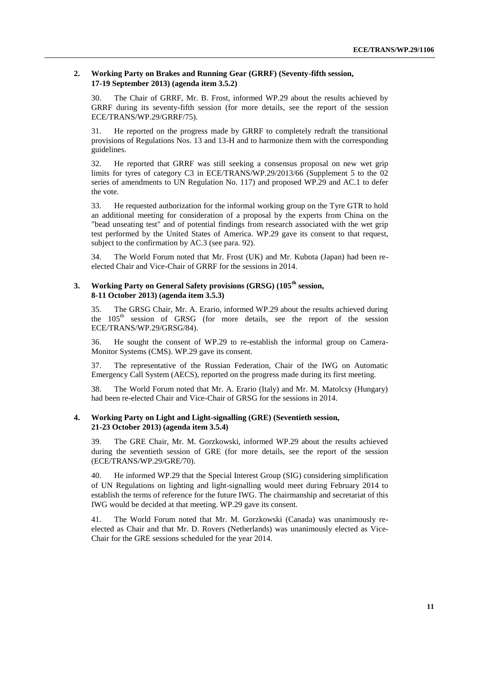#### **2. Working Party on Brakes and Running Gear (GRRF) (Seventy-fifth session, 17-19 September 2013) (agenda item 3.5.2)**

30. The Chair of GRRF, Mr. B. Frost, informed WP.29 about the results achieved by GRRF during its seventy-fifth session (for more details, see the report of the session ECE/TRANS/WP.29/GRRF/75).

31. He reported on the progress made by GRRF to completely redraft the transitional provisions of Regulations Nos. 13 and 13-H and to harmonize them with the corresponding guidelines.

32. He reported that GRRF was still seeking a consensus proposal on new wet grip limits for tyres of category C3 in ECE/TRANS/WP.29/2013/66 (Supplement 5 to the 02 series of amendments to UN Regulation No. 117) and proposed WP.29 and AC.1 to defer the vote.

33. He requested authorization for the informal working group on the Tyre GTR to hold an additional meeting for consideration of a proposal by the experts from China on the "bead unseating test" and of potential findings from research associated with the wet grip test performed by the United States of America. WP.29 gave its consent to that request, subject to the confirmation by AC.3 (see para. 92).

34. The World Forum noted that Mr. Frost (UK) and Mr. Kubota (Japan) had been reelected Chair and Vice-Chair of GRRF for the sessions in 2014.

#### **3. Working Party on General Safety provisions (GRSG) (105th session, 8-11 October 2013) (agenda item 3.5.3)**

35. The GRSG Chair, Mr. A. Erario, informed WP.29 about the results achieved during the 105<sup>th</sup> session of GRSG (for more details, see the report of the session ECE/TRANS/WP.29/GRSG/84).

36. He sought the consent of WP.29 to re-establish the informal group on Camera-Monitor Systems (CMS). WP.29 gave its consent.

37. The representative of the Russian Federation, Chair of the IWG on Automatic Emergency Call System (AECS), reported on the progress made during its first meeting.

38. The World Forum noted that Mr. A. Erario (Italy) and Mr. M. Matolcsy (Hungary) had been re-elected Chair and Vice-Chair of GRSG for the sessions in 2014.

### **4. Working Party on Light and Light-signalling (GRE) (Seventieth session, 21-23 October 2013) (agenda item 3.5.4)**

39. The GRE Chair, Mr. M. Gorzkowski, informed WP.29 about the results achieved during the seventieth session of GRE (for more details, see the report of the session (ECE/TRANS/WP.29/GRE/70).

40. He informed WP.29 that the Special Interest Group (SIG) considering simplification of UN Regulations on lighting and light-signalling would meet during February 2014 to establish the terms of reference for the future IWG. The chairmanship and secretariat of this IWG would be decided at that meeting. WP.29 gave its consent.

41. The World Forum noted that Mr. M. Gorzkowski (Canada) was unanimously reelected as Chair and that Mr. D. Rovers (Netherlands) was unanimously elected as Vice-Chair for the GRE sessions scheduled for the year 2014.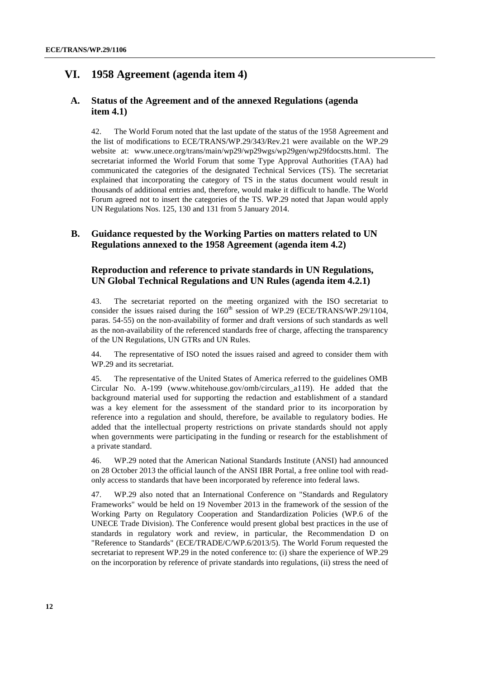### <span id="page-11-0"></span>**VI. 1958 Agreement (agenda item 4)**

### <span id="page-11-1"></span>**A. Status of the Agreement and of the annexed Regulations (agenda item 4.1)**

42. The World Forum noted that the last update of the status of the 1958 Agreement and the list of modifications to ECE/TRANS/WP.29/343/Rev.21 were available on the WP.29 website at: [www.unece.org/trans/main/wp29/wp29wgs/wp29gen/wp29fdocstts.html.](http://www.unece.org/trans/main/wp29/wp29wgs/wp29gen/wp29fdocstts.html) The secretariat informed the World Forum that some Type Approval Authorities (TAA) had communicated the categories of the designated Technical Services (TS). The secretariat explained that incorporating the category of TS in the status document would result in thousands of additional entries and, therefore, would make it difficult to handle. The World Forum agreed not to insert the categories of the TS. WP.29 noted that Japan would apply UN Regulations Nos. 125, 130 and 131 from 5 January 2014.

### <span id="page-11-2"></span>**B. Guidance requested by the Working Parties on matters related to UN Regulations annexed to the 1958 Agreement (agenda item 4.2)**

### **Reproduction and reference to private standards in UN Regulations, UN Global Technical Regulations and UN Rules (agenda item 4.2.1)**

43. The secretariat reported on the meeting organized with the ISO secretariat to consider the issues raised during the  $160<sup>th</sup>$  session of WP.29 (ECE/TRANS/WP.29/1104, paras. 54-55) on the non-availability of former and draft versions of such standards as well as the non-availability of the referenced standards free of charge, affecting the transparency of the UN Regulations, UN GTRs and UN Rules.

44. The representative of ISO noted the issues raised and agreed to consider them with WP.29 and its secretariat.

45. The representative of the United States of America referred to the guidelines OMB Circular No. A-199 (www.whitehouse.gov/omb/circulars\_a119). He added that the background material used for supporting the redaction and establishment of a standard was a key element for the assessment of the standard prior to its incorporation by reference into a regulation and should, therefore, be available to regulatory bodies. He added that the intellectual property restrictions on private standards should not apply when governments were participating in the funding or research for the establishment of a private standard.

46. WP.29 noted that the American National Standards Institute (ANSI) had announced on 28 October 2013 the official launch of the ANSI IBR Portal, a free online tool with readonly access to standards that have been incorporated by reference into federal laws.

47. WP.29 also noted that an International Conference on "Standards and Regulatory Frameworks" would be held on 19 November 2013 in the framework of the session of the Working Party on Regulatory Cooperation and Standardization Policies (WP.6 of the UNECE Trade Division). The Conference would present global best practices in the use of standards in regulatory work and review, in particular, the Recommendation D on "Reference to Standards" (ECE/TRADE/C/WP.6/2013/5). The World Forum requested the secretariat to represent WP.29 in the noted conference to: (i) share the experience of WP.29 on the incorporation by reference of private standards into regulations, (ii) stress the need of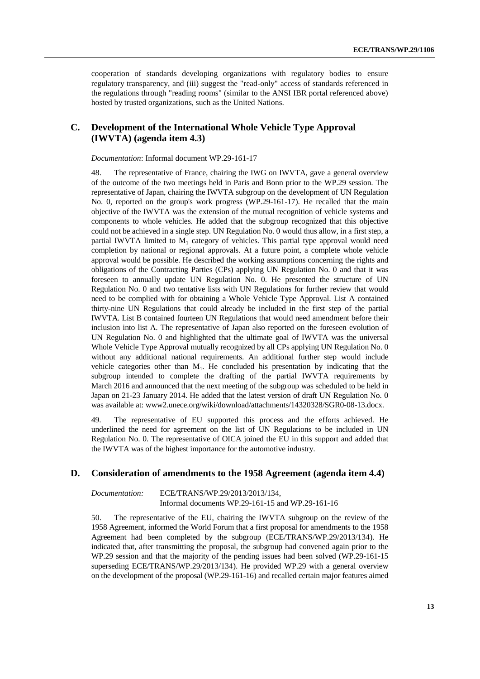cooperation of standards developing organizations with regulatory bodies to ensure regulatory transparency, and (iii) suggest the "read-only" access of standards referenced in the regulations through "reading rooms" (similar to the ANSI IBR portal referenced above) hosted by trusted organizations, such as the United Nations.

### <span id="page-12-0"></span>**C. Development of the International Whole Vehicle Type Approval (IWVTA) (agenda item 4.3)**

*Documentation*: Informal document WP.29-161-17

48. The representative of France, chairing the IWG on IWVTA, gave a general overview of the outcome of the two meetings held in Paris and Bonn prior to the WP.29 session. The representative of Japan, chairing the IWVTA subgroup on the development of UN Regulation No. 0, reported on the group's work progress (WP.29-161-17). He recalled that the main objective of the IWVTA was the extension of the mutual recognition of vehicle systems and components to whole vehicles. He added that the subgroup recognized that this objective could not be achieved in a single step. UN Regulation No. 0 would thus allow, in a first step, a partial IWVTA limited to  $M_1$  category of vehicles. This partial type approval would need completion by national or regional approvals. At a future point, a complete whole vehicle approval would be possible. He described the working assumptions concerning the rights and obligations of the Contracting Parties (CPs) applying UN Regulation No. 0 and that it was foreseen to annually update UN Regulation No. 0. He presented the structure of UN Regulation No. 0 and two tentative lists with UN Regulations for further review that would need to be complied with for obtaining a Whole Vehicle Type Approval. List A contained thirty-nine UN Regulations that could already be included in the first step of the partial IWVTA. List B contained fourteen UN Regulations that would need amendment before their inclusion into list A. The representative of Japan also reported on the foreseen evolution of UN Regulation No. 0 and highlighted that the ultimate goal of IWVTA was the universal Whole Vehicle Type Approval mutually recognized by all CPs applying UN Regulation No. 0 without any additional national requirements. An additional further step would include vehicle categories other than  $M<sub>1</sub>$ . He concluded his presentation by indicating that the subgroup intended to complete the drafting of the partial IWVTA requirements by March 2016 and announced that the next meeting of the subgroup was scheduled to be held in Japan on 21-23 January 2014. He added that the latest version of draft UN Regulation No. 0 was available at: www2.unece.org/wiki/download/attachments/14320328/SGR0-08-13.docx.

49. The representative of EU supported this process and the efforts achieved. He underlined the need for agreement on the list of UN Regulations to be included in UN Regulation No. 0. The representative of OICA joined the EU in this support and added that the IWVTA was of the highest importance for the automotive industry.

### <span id="page-12-1"></span>**D. Consideration of amendments to the 1958 Agreement (agenda item 4.4)**

*Documentation:* ECE/TRANS/WP.29/2013/2013/134, Informal documents WP.29-161-15 and WP.29-161-16

50. The representative of the EU, chairing the IWVTA subgroup on the review of the 1958 Agreement, informed the World Forum that a first proposal for amendments to the 1958 Agreement had been completed by the subgroup (ECE/TRANS/WP.29/2013/134). He indicated that, after transmitting the proposal, the subgroup had convened again prior to the WP.29 session and that the majority of the pending issues had been solved (WP.29-161-15 superseding ECE/TRANS/WP.29/2013/134). He provided WP.29 with a general overview on the development of the proposal (WP.29-161-16) and recalled certain major features aimed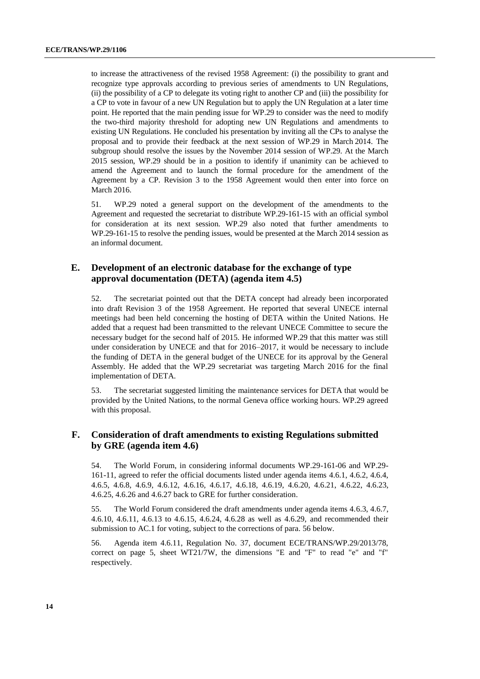to increase the attractiveness of the revised 1958 Agreement: (i) the possibility to grant and recognize type approvals according to previous series of amendments to UN Regulations, (ii) the possibility of a CP to delegate its voting right to another CP and (iii) the possibility for a CP to vote in favour of a new UN Regulation but to apply the UN Regulation at a later time point. He reported that the main pending issue for WP.29 to consider was the need to modify the two-third majority threshold for adopting new UN Regulations and amendments to existing UN Regulations. He concluded his presentation by inviting all the CPs to analyse the proposal and to provide their feedback at the next session of WP.29 in March 2014. The subgroup should resolve the issues by the November 2014 session of WP.29. At the March 2015 session, WP.29 should be in a position to identify if unanimity can be achieved to amend the Agreement and to launch the formal procedure for the amendment of the Agreement by a CP. Revision 3 to the 1958 Agreement would then enter into force on March 2016.

51. WP.29 noted a general support on the development of the amendments to the Agreement and requested the secretariat to distribute WP.29-161-15 with an official symbol for consideration at its next session. WP.29 also noted that further amendments to WP.29-161-15 to resolve the pending issues, would be presented at the March 2014 session as an informal document.

### <span id="page-13-0"></span>**E. Development of an electronic database for the exchange of type approval documentation (DETA) (agenda item 4.5)**

52. The secretariat pointed out that the DETA concept had already been incorporated into draft Revision 3 of the 1958 Agreement. He reported that several UNECE internal meetings had been held concerning the hosting of DETA within the United Nations. He added that a request had been transmitted to the relevant UNECE Committee to secure the necessary budget for the second half of 2015. He informed WP.29 that this matter was still under consideration by UNECE and that for 2016–2017, it would be necessary to include the funding of DETA in the general budget of the UNECE for its approval by the General Assembly. He added that the WP.29 secretariat was targeting March 2016 for the final implementation of DETA.

53. The secretariat suggested limiting the maintenance services for DETA that would be provided by the United Nations, to the normal Geneva office working hours. WP.29 agreed with this proposal.

### <span id="page-13-1"></span>**F. Consideration of draft amendments to existing Regulations submitted by GRE (agenda item 4.6)**

54. The World Forum, in considering informal documents WP.29-161-06 and WP.29- 161-11, agreed to refer the official documents listed under agenda items 4.6.1, 4.6.2, 4.6.4, 4.6.5, 4.6.8, 4.6.9, 4.6.12, 4.6.16, 4.6.17, 4.6.18, 4.6.19, 4.6.20, 4.6.21, 4.6.22, 4.6.23, 4.6.25, 4.6.26 and 4.6.27 back to GRE for further consideration.

55. The World Forum considered the draft amendments under agenda items 4.6.3, 4.6.7, 4.6.10, 4.6.11, 4.6.13 to 4.6.15, 4.6.24, 4.6.28 as well as 4.6.29, and recommended their submission to AC.1 for voting, subject to the corrections of para. 56 below.

56. Agenda item 4.6.11, Regulation No. 37, document ECE/TRANS/WP.29/2013/78, correct on page 5, sheet WT21/7W, the dimensions "E and "F" to read "e" and "f" respectively.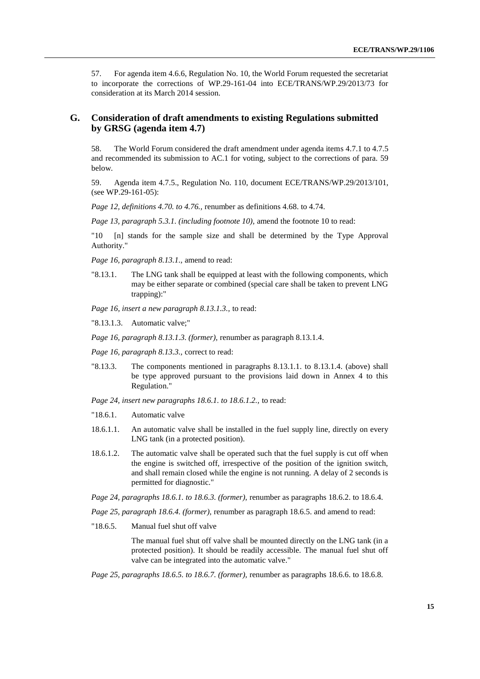57. For agenda item 4.6.6, Regulation No. 10, the World Forum requested the secretariat to incorporate the corrections of WP.29-161-04 into ECE/TRANS/WP.29/2013/73 for consideration at its March 2014 session.

### <span id="page-14-0"></span>**G. Consideration of draft amendments to existing Regulations submitted by GRSG (agenda item 4.7)**

58. The World Forum considered the draft amendment under agenda items 4.7.1 to 4.7.5 and recommended its submission to AC.1 for voting, subject to the corrections of para. 59 below.

59. Agenda item 4.7.5., Regulation No. 110, document ECE/TRANS/WP.29/2013/101, (see WP.29-161-05):

*Page 12, definitions 4.70. to 4.76.,* renumber as definitions 4.68. to 4.74.

*Page 13, paragraph 5.3.1. (including footnote 10),* amend the footnote 10 to read:

"10 [n] stands for the sample size and shall be determined by the Type Approval Authority."

*Page 16, paragraph 8.13.1.,* amend to read:

"8.13.1. The LNG tank shall be equipped at least with the following components, which may be either separate or combined (special care shall be taken to prevent LNG trapping):"

*Page 16, insert a new paragraph 8.13.1.3.,* to read:

"8.13.1.3. Automatic valve;"

*Page 16, paragraph 8.13.1.3. (former),* renumber as paragraph 8.13.1.4.

*Page 16, paragraph 8.13.3.,* correct to read:

"8.13.3. The components mentioned in paragraphs 8.13.1.1. to 8.13.1.4. (above) shall be type approved pursuant to the provisions laid down in Annex 4 to this Regulation."

*Page 24, insert new paragraphs 18.6.1. to 18.6.1.2.,* to read:

- "18.6.1. Automatic valve
- 18.6.1.1. An automatic valve shall be installed in the fuel supply line, directly on every LNG tank (in a protected position).
- 18.6.1.2. The automatic valve shall be operated such that the fuel supply is cut off when the engine is switched off, irrespective of the position of the ignition switch, and shall remain closed while the engine is not running. A delay of 2 seconds is permitted for diagnostic."

*Page 24, paragraphs 18.6.1. to 18.6.3. (former),* renumber as paragraphs 18.6.2. to 18.6.4.

*Page 25, paragraph 18.6.4. (former),* renumber as paragraph 18.6.5. and amend to read:

"18.6.5. Manual fuel shut off valve

The manual fuel shut off valve shall be mounted directly on the LNG tank (in a protected position). It should be readily accessible. The manual fuel shut off valve can be integrated into the automatic valve."

*Page 25, paragraphs 18.6.5. to 18.6.7. (former),* renumber as paragraphs 18.6.6. to 18.6.8.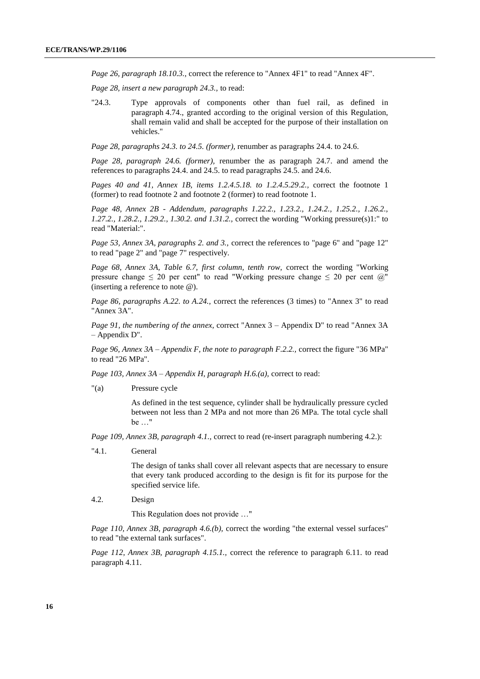*Page 26, paragraph 18.10.3.,* correct the reference to "Annex 4F1" to read "Annex 4F".

*Page 28, insert a new paragraph 24.3.,* to read:

"24.3. Type approvals of components other than fuel rail, as defined in paragraph 4.74., granted according to the original version of this Regulation, shall remain valid and shall be accepted for the purpose of their installation on vehicles."

*Page 28, paragraphs 24.3. to 24.5. (former),* renumber as paragraphs 24.4. to 24.6.

*Page 28, paragraph 24.6. (former),* renumber the as paragraph 24.7. and amend the references to paragraphs 24.4. and 24.5. to read paragraphs 24.5. and 24.6.

*Pages 40 and 41, Annex 1B, items 1.2.4.5.18. to 1.2.4.5.29.2.,* correct the footnote 1 (former) to read footnote 2 and footnote 2 (former) to read footnote 1.

*Page 48, Annex 2B - Addendum, paragraphs 1.22.2., 1.23.2., 1.24.2., 1.25.2., 1.26.2., 1.27.2., 1.28.2., 1.29.2., 1.30.2. and 1.31.2.,* correct the wording "Working pressure(s)1:" to read "Material:".

*Page 53, Annex 3A, paragraphs 2. and 3.,* correct the references to "page 6" and "page 12" to read "page 2" and "page 7" respectively.

*Page 68, Annex 3A, Table 6.7, first column, tenth row,* correct the wording "Working pressure change  $\leq 20$  per cent" to read "Working pressure change  $\leq 20$  per cent  $\omega$ " (inserting a reference to note @).

*Page 86, paragraphs A.22. to A.24., correct the references (3 times) to "Annex 3" to read* "Annex 3A".

*Page 91, the numbering of the annex,* correct "Annex 3 – Appendix D" to read "Annex 3A – Appendix D".

*Page 96, Annex 3A – Appendix F, the note to paragraph F.2.2.,* correct the figure "36 MPa" to read "26 MPa".

*Page 103, Annex 3A – Appendix H, paragraph H.6.(a),* correct to read:

"(a) Pressure cycle

As defined in the test sequence, cylinder shall be hydraulically pressure cycled between not less than 2 MPa and not more than 26 MPa. The total cycle shall be …"

*Page 109, Annex 3B, paragraph 4.1.,* correct to read (re-insert paragraph numbering 4.2.):

"4.1. General

The design of tanks shall cover all relevant aspects that are necessary to ensure that every tank produced according to the design is fit for its purpose for the specified service life.

4.2. Design

This Regulation does not provide …"

*Page 110, Annex 3B, paragraph 4.6.(b),* correct the wording "the external vessel surfaces" to read "the external tank surfaces".

*Page 112, Annex 3B, paragraph 4.15.1.,* correct the reference to paragraph 6.11. to read paragraph 4.11.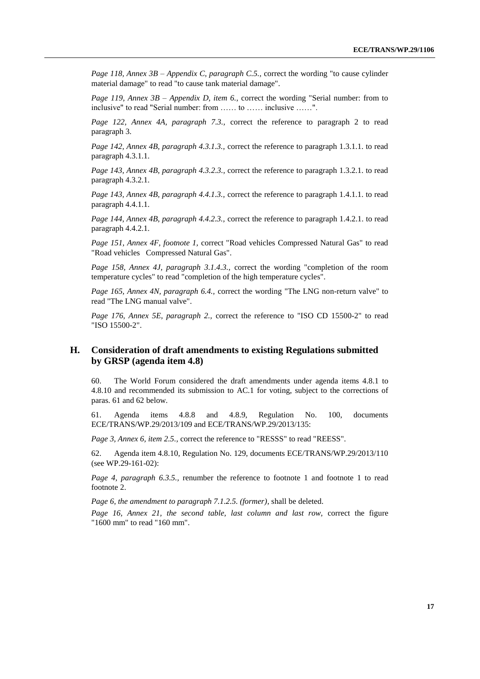*Page 118, Annex 3B – Appendix C, paragraph C.5.,* correct the wording "to cause cylinder material damage" to read "to cause tank material damage".

*Page 119, Annex 3B – Appendix D, item 6.,* correct the wording "Serial number: from to inclusive" to read "Serial number: from …… to …… inclusive ……".

*Page 122, Annex 4A, paragraph 7.3.,* correct the reference to paragraph 2 to read paragraph 3.

*Page 142, Annex 4B, paragraph 4.3.1.3., correct the reference to paragraph 1.3.1.1. to read* paragraph 4.3.1.1.

*Page 143, Annex 4B, paragraph 4.3.2.3.,* correct the reference to paragraph 1.3.2.1. to read paragraph 4.3.2.1.

*Page 143, Annex 4B, paragraph 4.4.1.3., correct the reference to paragraph 1.4.1.1. to read* paragraph 4.4.1.1.

*Page 144, Annex 4B, paragraph 4.4.2.3.,* correct the reference to paragraph 1.4.2.1. to read paragraph 4.4.2.1.

*Page 151, Annex 4F, footnote 1,* correct "Road vehicles Compressed Natural Gas" to read "Road vehicles Compressed Natural Gas".

*Page 158, Annex 4J, paragraph 3.1.4.3.,* correct the wording "completion of the room temperature cycles" to read "completion of the high temperature cycles".

*Page 165, Annex 4N, paragraph 6.4., correct the wording "The LNG non-return valve" to* read "The LNG manual valve".

*Page 176, Annex 5E, paragraph 2.,* correct the reference to "ISO CD 15500-2" to read "ISO 15500-2".

### <span id="page-16-0"></span>**H. Consideration of draft amendments to existing Regulations submitted by GRSP (agenda item 4.8)**

60. The World Forum considered the draft amendments under agenda items 4.8.1 to 4.8.10 and recommended its submission to AC.1 for voting, subject to the corrections of paras. 61 and 62 below.

61. Agenda items 4.8.8 and 4.8.9, Regulation No. 100, documents ECE/TRANS/WP.29/2013/109 and ECE/TRANS/WP.29/2013/135:

*Page 3, Annex 6, item 2.5.,* correct the reference to "RESSS" to read "REESS".

62. Agenda item 4.8.10, Regulation No. 129, documents ECE/TRANS/WP.29/2013/110 (see WP.29-161-02):

*Page 4, paragraph 6.3.5.,* renumber the reference to footnote 1 and footnote 1 to read footnote 2.

*Page 6, the amendment to paragraph 7.1.2.5. (former),* shall be deleted.

*Page 16, Annex 21, the second table, last column and last row,* correct the figure "1600 mm" to read "160 mm".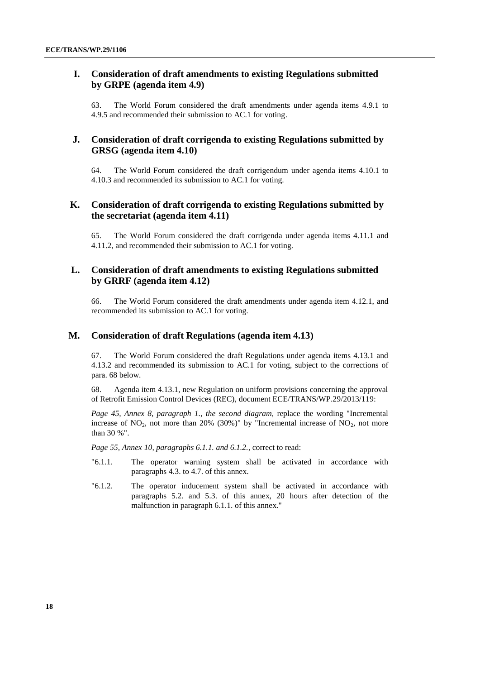### <span id="page-17-0"></span>**I. Consideration of draft amendments to existing Regulations submitted by GRPE (agenda item 4.9)**

63. The World Forum considered the draft amendments under agenda items 4.9.1 to 4.9.5 and recommended their submission to AC.1 for voting.

### <span id="page-17-1"></span>**J. Consideration of draft corrigenda to existing Regulations submitted by GRSG (agenda item 4.10)**

64. The World Forum considered the draft corrigendum under agenda items 4.10.1 to 4.10.3 and recommended its submission to AC.1 for voting.

### <span id="page-17-2"></span>**K. Consideration of draft corrigenda to existing Regulations submitted by the secretariat (agenda item 4.11)**

65. The World Forum considered the draft corrigenda under agenda items 4.11.1 and 4.11.2, and recommended their submission to AC.1 for voting.

### <span id="page-17-3"></span>**L. Consideration of draft amendments to existing Regulations submitted by GRRF (agenda item 4.12)**

66. The World Forum considered the draft amendments under agenda item 4.12.1, and recommended its submission to AC.1 for voting.

### <span id="page-17-4"></span>**M. Consideration of draft Regulations (agenda item 4.13)**

67. The World Forum considered the draft Regulations under agenda items 4.13.1 and 4.13.2 and recommended its submission to AC.1 for voting, subject to the corrections of para. 68 below.

68. Agenda item 4.13.1, new Regulation on uniform provisions concerning the approval of Retrofit Emission Control Devices (REC), document ECE/TRANS/WP.29/2013/119:

*Page 45, Annex 8, paragraph 1., the second diagram,* replace the wording "Incremental increase of  $NO<sub>2</sub>$ , not more than 20% (30%)" by "Incremental increase of  $NO<sub>2</sub>$ , not more than 30 %".

*Page 55, Annex 10, paragraphs 6.1.1. and 6.1.2.,* correct to read:

- "6.1.1. The operator warning system shall be activated in accordance with paragraphs 4.3. to 4.7. of this annex.
- "6.1.2. The operator inducement system shall be activated in accordance with paragraphs 5.2. and 5.3. of this annex, 20 hours after detection of the malfunction in paragraph 6.1.1. of this annex."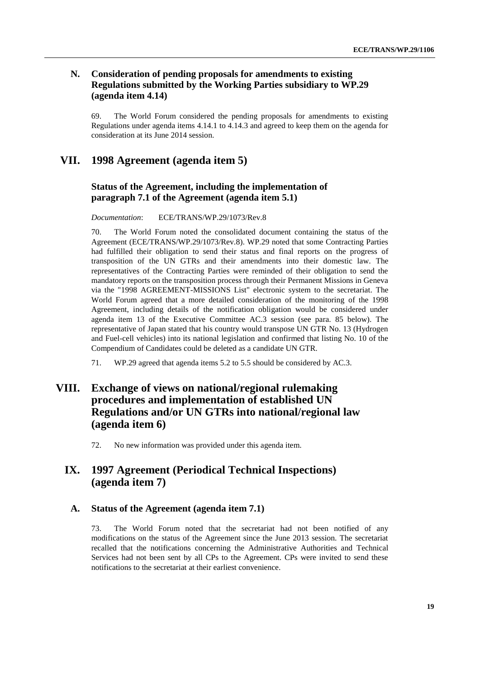### <span id="page-18-0"></span>**N. Consideration of pending proposals for amendments to existing Regulations submitted by the Working Parties subsidiary to WP.29 (agenda item 4.14)**

69. The World Forum considered the pending proposals for amendments to existing Regulations under agenda items 4.14.1 to 4.14.3 and agreed to keep them on the agenda for consideration at its June 2014 session.

### <span id="page-18-1"></span>**VII. 1998 Agreement (agenda item 5)**

### <span id="page-18-2"></span>**Status of the Agreement, including the implementation of paragraph 7.1 of the Agreement (agenda item 5.1)**

*Documentation*: ECE/TRANS/WP.29/1073/Rev.8

70. The World Forum noted the consolidated document containing the status of the Agreement (ECE/TRANS/WP.29/1073/Rev.8). WP.29 noted that some Contracting Parties had fulfilled their obligation to send their status and final reports on the progress of transposition of the UN GTRs and their amendments into their domestic law. The representatives of the Contracting Parties were reminded of their obligation to send the mandatory reports on the transposition process through their Permanent Missions in Geneva via the "1998 AGREEMENT-MISSIONS List" electronic system to the secretariat. The World Forum agreed that a more detailed consideration of the monitoring of the 1998 Agreement, including details of the notification obligation would be considered under agenda item 13 of the Executive Committee AC.3 session (see para. 85 below). The representative of Japan stated that his country would transpose UN GTR No. 13 (Hydrogen and Fuel-cell vehicles) into its national legislation and confirmed that listing No. 10 of the Compendium of Candidates could be deleted as a candidate UN GTR.

71. WP.29 agreed that agenda items 5.2 to 5.5 should be considered by AC.3.

# <span id="page-18-3"></span>**VIII. Exchange of views on national/regional rulemaking procedures and implementation of established UN Regulations and/or UN GTRs into national/regional law (agenda item 6)**

72. No new information was provided under this agenda item.

## <span id="page-18-4"></span>**IX. 1997 Agreement (Periodical Technical Inspections) (agenda item 7)**

### <span id="page-18-5"></span>**A. Status of the Agreement (agenda item 7.1)**

73. The World Forum noted that the secretariat had not been notified of any modifications on the status of the Agreement since the June 2013 session. The secretariat recalled that the notifications concerning the Administrative Authorities and Technical Services had not been sent by all CPs to the Agreement. CPs were invited to send these notifications to the secretariat at their earliest convenience.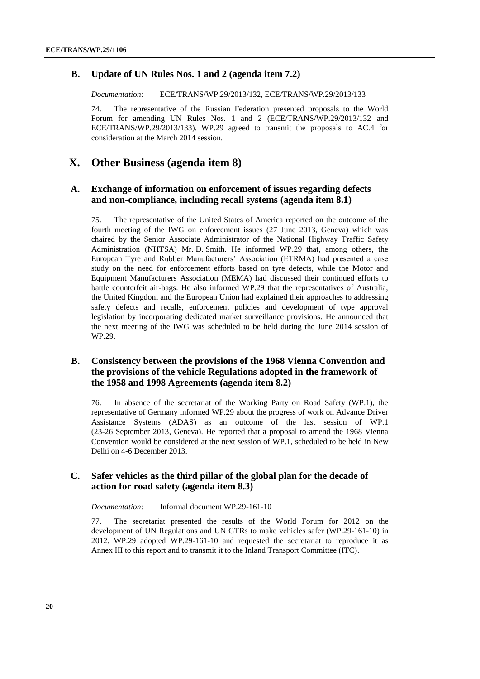### <span id="page-19-0"></span>**B. Update of UN Rules Nos. 1 and 2 (agenda item 7.2)**

*Documentation:* ECE/TRANS/WP.29/2013/132, ECE/TRANS/WP.29/2013/133

74. The representative of the Russian Federation presented proposals to the World Forum for amending UN Rules Nos. 1 and 2 (ECE/TRANS/WP.29/2013/132 and ECE/TRANS/WP.29/2013/133). WP.29 agreed to transmit the proposals to AC.4 for consideration at the March 2014 session.

### <span id="page-19-1"></span>**X. Other Business (agenda item 8)**

### <span id="page-19-2"></span>**A. Exchange of information on enforcement of issues regarding defects and non-compliance, including recall systems (agenda item 8.1)**

75. The representative of the United States of America reported on the outcome of the fourth meeting of the IWG on enforcement issues (27 June 2013, Geneva) which was chaired by the Senior Associate Administrator of the National Highway Traffic Safety Administration (NHTSA) Mr. D. Smith. He informed WP.29 that, among others, the European Tyre and Rubber Manufacturers' Association (ETRMA) had presented a case study on the need for enforcement efforts based on tyre defects, while the Motor and Equipment Manufacturers Association (MEMA) had discussed their continued efforts to battle counterfeit air-bags. He also informed WP.29 that the representatives of Australia, the United Kingdom and the European Union had explained their approaches to addressing safety defects and recalls, enforcement policies and development of type approval legislation by incorporating dedicated market surveillance provisions. He announced that the next meeting of the IWG was scheduled to be held during the June 2014 session of WP.29.

### <span id="page-19-3"></span>**B. Consistency between the provisions of the 1968 Vienna Convention and the provisions of the vehicle Regulations adopted in the framework of the 1958 and 1998 Agreements (agenda item 8.2)**

76. In absence of the secretariat of the Working Party on Road Safety (WP.1), the representative of Germany informed WP.29 about the progress of work on Advance Driver Assistance Systems (ADAS) as an outcome of the last session of WP.1 (23-26 September 2013, Geneva). He reported that a proposal to amend the 1968 Vienna Convention would be considered at the next session of WP.1, scheduled to be held in New Delhi on 4-6 December 2013.

### <span id="page-19-4"></span>**C. Safer vehicles as the third pillar of the global plan for the decade of action for road safety (agenda item 8.3)**

*Documentation:* Informal document WP.29-161-10

77. The secretariat presented the results of the World Forum for 2012 on the development of UN Regulations and UN GTRs to make vehicles safer (WP.29-161-10) in 2012. WP.29 adopted WP.29-161-10 and requested the secretariat to reproduce it as Annex III to this report and to transmit it to the Inland Transport Committee (ITC).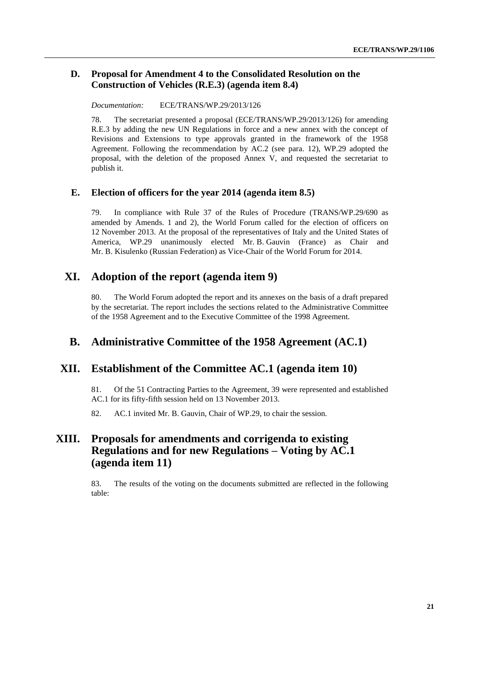### <span id="page-20-0"></span>**D. Proposal for Amendment 4 to the Consolidated Resolution on the Construction of Vehicles (R.E.3) (agenda item 8.4)**

*Documentation:* ECE/TRANS/WP.29/2013/126

78. The secretariat presented a proposal (ECE/TRANS/WP.29/2013/126) for amending R.E.3 by adding the new UN Regulations in force and a new annex with the concept of Revisions and Extensions to type approvals granted in the framework of the 1958 Agreement. Following the recommendation by AC.2 (see para. 12), WP.29 adopted the proposal, with the deletion of the proposed Annex V, and requested the secretariat to publish it.

### <span id="page-20-1"></span>**E. Election of officers for the year 2014 (agenda item 8.5)**

79. In compliance with Rule 37 of the Rules of Procedure (TRANS/WP.29/690 as amended by Amends. 1 and 2), the World Forum called for the election of officers on 12 November 2013. At the proposal of the representatives of Italy and the United States of America, WP.29 unanimously elected Mr. B. Gauvin (France) as Chair and Mr. B. Kisulenko (Russian Federation) as Vice-Chair of the World Forum for 2014.

### <span id="page-20-2"></span>**XI. Adoption of the report (agenda item 9)**

80. The World Forum adopted the report and its annexes on the basis of a draft prepared by the secretariat. The report includes the sections related to the Administrative Committee of the 1958 Agreement and to the Executive Committee of the 1998 Agreement.

### <span id="page-20-3"></span>**B. Administrative Committee of the 1958 Agreement (AC.1)**

### <span id="page-20-4"></span>**XII. Establishment of the Committee AC.1 (agenda item 10)**

81. Of the 51 Contracting Parties to the Agreement, 39 were represented and established AC.1 for its fifty-fifth session held on 13 November 2013.

82. AC.1 invited Mr. B. Gauvin, Chair of WP.29, to chair the session.

# <span id="page-20-5"></span>**XIII. Proposals for amendments and corrigenda to existing Regulations and for new Regulations – Voting by AC.1 (agenda item 11)**

83. The results of the voting on the documents submitted are reflected in the following table: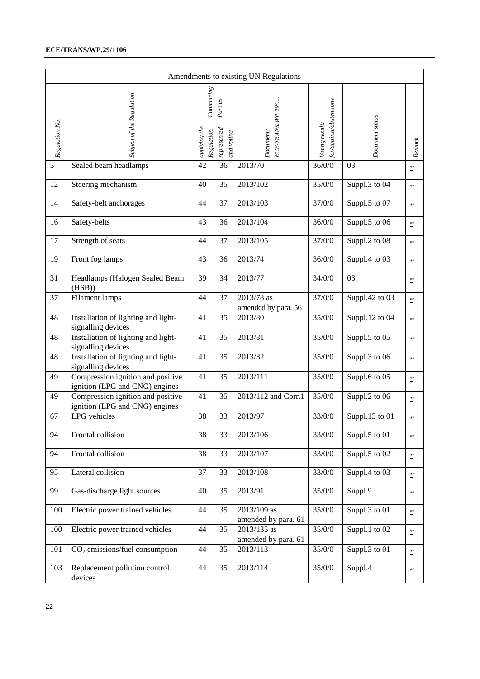### **ECE/TRANS/WP.29/1106**

|                |                                                                     |                            |                           | Amendments to existing UN Regulations |                                               |                 |                                    |
|----------------|---------------------------------------------------------------------|----------------------------|---------------------------|---------------------------------------|-----------------------------------------------|-----------------|------------------------------------|
|                |                                                                     | Contracting                | Parties                   |                                       |                                               |                 |                                    |
| Regulation No. | Subject of the Regulation                                           | applying the<br>Regulation | represented<br>and voting | ECE/TRANS/WP.29/<br>Document;         | $for/aq a$ inst/abstentions<br>Voting result: | Document status | Renark                             |
| 5              | Sealed beam headlamps                                               | 42                         | 36                        | 2013/70                               | 36/0/0                                        | 03              | $\ensuremath{^{*}/}$               |
| 12             | Steering mechanism                                                  | 40                         | 35                        | 2013/102                              | 35/0/0                                        | Suppl.3 to 04   | $^*/$                              |
| 14             | Safety-belt anchorages                                              | 44                         | 37                        | 2013/103                              | 37/0/0                                        | Suppl.5 to 07   | $^{\ast/}$                         |
| 16             | Safety-belts                                                        | 43                         | 36                        | 2013/104                              | 36/0/0                                        | Suppl.5 to 06   | $^*/$                              |
| 17             | Strength of seats                                                   | 44                         | 37                        | 2013/105                              | 37/0/0                                        | Suppl.2 to 08   | $^*/$                              |
| 19             | Front fog lamps                                                     | 43                         | 36                        | 2013/74                               | 36/0/0                                        | Suppl.4 to 03   | $^*/$                              |
| 31             | Headlamps (Halogen Sealed Beam<br>(HSB)                             | 39                         | 34                        | 2013/77                               | 34/0/0                                        | 03              | $\ensuremath{^{*}/}$               |
| 37             | Filament lamps                                                      | 44                         | 37                        | 2013/78 as<br>amended by para. 56     | 37/0/0                                        | Suppl.42 to 03  | $^*/$                              |
| 48             | Installation of lighting and light-<br>signalling devices           | 41                         | 35                        | 2013/80                               | 35/0/0                                        | Suppl.12 to 04  | $\ast/$                            |
| 48             | Installation of lighting and light-<br>signalling devices           | 41                         | 35                        | 2013/81                               | 35/0/0                                        | Suppl.5 to 05   | $^*/$                              |
| 48             | Installation of lighting and light-<br>signalling devices           | 41                         | 35                        | 2013/82                               | 35/0/0                                        | Suppl.3 to 06   | $^*/$                              |
| 49             | Compression ignition and positive<br>ignition (LPG and CNG) engines | 41                         | 35                        | 2013/111                              | 35/0/0                                        | Suppl.6 to 05   | $^*/$                              |
| 49             | Compression ignition and positive<br>ignition (LPG and CNG) engines | 41                         | 35                        | 2013/112 and Corr.1                   | 35/0/0                                        | Suppl.2 to 06   | $^*/$                              |
| 67             | LPG vehicles                                                        | 38                         | 33                        | 2013/97                               | 33/0/0                                        | Suppl.13 to 01  | $\ensuremath{^{*}/}$               |
| 94             | Frontal collision                                                   | 38                         | 33                        | 2013/106                              | 33/0/0                                        | Suppl.5 to 01   | $\frac{*}{\sqrt{2}}$               |
| 94             | Frontal collision                                                   | 38                         | 33                        | 2013/107                              | 33/0/0                                        | Suppl.5 to 02   | $\frac{*}{\omega}$                 |
| 95             | Lateral collision                                                   | 37                         | 33                        | 2013/108                              | 33/0/0                                        | Suppl.4 to 03   | $^*/$                              |
| 99             | Gas-discharge light sources                                         | 40                         | 35                        | 2013/91                               | 35/0/0                                        | Suppl.9         | $\frac{*}{\sqrt{2}}$               |
| 100            | Electric power trained vehicles                                     | 44                         | 35                        | 2013/109 as<br>amended by para. 61    | 35/0/0                                        | Suppl.3 to 01   | $^*/$                              |
| 100            | Electric power trained vehicles                                     | 44                         | 35                        | 2013/135 as<br>amended by para. 61    | 35/0/0                                        | Suppl.1 to 02   | $\frac{*}{\sqrt{2}}$               |
| 101            | $CO2$ emissions/fuel consumption                                    | 44                         | 35                        | 2013/113                              | 35/0/0                                        | Suppl.3 to 01   | $\frac{*}{\sqrt{2}}$               |
| 103            | Replacement pollution control<br>devices                            | 44                         | 35                        | 2013/114                              | 35/0/0                                        | Suppl.4         | $\ensuremath{\mathcal{Z}}\xspace/$ |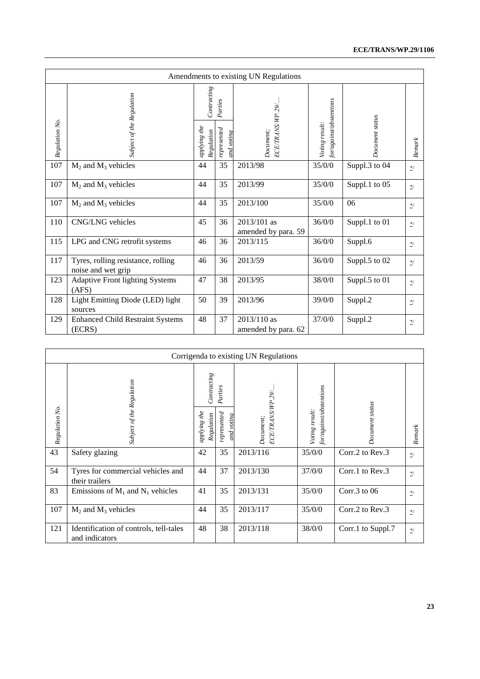| Amendments to existing UN Regulations |                                                          |                                          |                        |                                    |                                           |                 |                      |  |
|---------------------------------------|----------------------------------------------------------|------------------------------------------|------------------------|------------------------------------|-------------------------------------------|-----------------|----------------------|--|
| Regulation No.                        | Subject of the Regulation                                | Contrating<br>applying the<br>Regulation | Parties<br>represented | ECE/TRANS/WP.29/<br>Document;      | for/against/abstentions<br>Voting result: | Document status | Remark               |  |
| 107                                   | $M_2$ and $M_3$ vehicles                                 | 44                                       | 35                     | 2013/98                            | 35/0/0                                    | Suppl.3 to 04   | $^*/$                |  |
| 107                                   | $M_2$ and $M_3$ vehicles                                 | 44                                       | 35                     | 2013/99                            | 35/0/0                                    | Suppl.1 to 05   | $^*/$                |  |
| 107                                   | $M_2$ and $M_3$ vehicles                                 | 44                                       | 35                     | 2013/100                           | 35/0/0                                    | 06              | $\frac{*}{\cdot}$    |  |
| 110                                   | CNG/LNG vehicles                                         | 45                                       | 36                     | 2013/101 as<br>amended by para. 59 | 36/0/0                                    | Suppl.1 to 01   | $\ensuremath{^{*}/}$ |  |
| 115                                   | LPG and CNG retrofit systems                             | 46                                       | 36                     | 2013/115                           | 36/0/0                                    | Suppl.6         | $^*/$                |  |
| 117                                   | Tyres, rolling resistance, rolling<br>noise and wet grip | 46                                       | 36                     | 2013/59                            | 36/0/0                                    | Suppl.5 to 02   | $^*/$                |  |
| 123                                   | <b>Adaptive Front lighting Systems</b><br>(AFS)          | 47                                       | 38                     | 2013/95                            | 38/0/0                                    | Suppl.5 to 01   | $^*/$                |  |
| 128                                   | Light Emitting Diode (LED) light<br>sources              | 50                                       | 39                     | 2013/96                            | 39/0/0                                    | Suppl.2         | $^{\ast/}$           |  |
| 129                                   | <b>Enhanced Child Restraint Systems</b><br>(ECRS)        | 48                                       | 37                     | 2013/110 as<br>amended by para. 62 | 37/0/0                                    | Suppl.2         | $^*/$                |  |

|                | Corrigenda to existing UN Regulations                    |                               |                              |                             |                                           |                   |         |  |  |  |
|----------------|----------------------------------------------------------|-------------------------------|------------------------------|-----------------------------|-------------------------------------------|-------------------|---------|--|--|--|
|                |                                                          |                               | Contracting<br>Parties       |                             |                                           |                   |         |  |  |  |
| Regulation No. | Subject of the Regulation                                | the<br>Regulation<br>applying | represented<br>voting<br>and | ECETRANSWP.29/<br>Document; | for/against/abstentions<br>Voting result: | Document status   | Renark  |  |  |  |
| 43             | Safety glazing                                           | 42                            | 35                           | 2013/116                    | 35/0/0                                    | Corr.2 to Rev.3   | $^*/$   |  |  |  |
| 54             | Tyres for commercial vehicles and<br>their trailers      | 44                            | 37                           | 2013/130                    | 37/0/0                                    | Corr.1 to $Rev.3$ | $^*/$   |  |  |  |
| 83             | Emissions of $M_1$ and $N_1$ vehicles                    | 41                            | 35                           | 2013/131                    | 35/0/0                                    | Corr.3 to $06$    | $^*/$   |  |  |  |
| 107            | $M_2$ and $M_3$ vehicles                                 | 44                            | 35                           | 2013/117                    | 35/0/0                                    | Corr.2 to Rev.3   | $\ast/$ |  |  |  |
| 121            | Identification of controls, tell-tales<br>and indicators | 48                            | 38                           | 2013/118                    | 38/0/0                                    | Corr.1 to Suppl.7 | $^*/$   |  |  |  |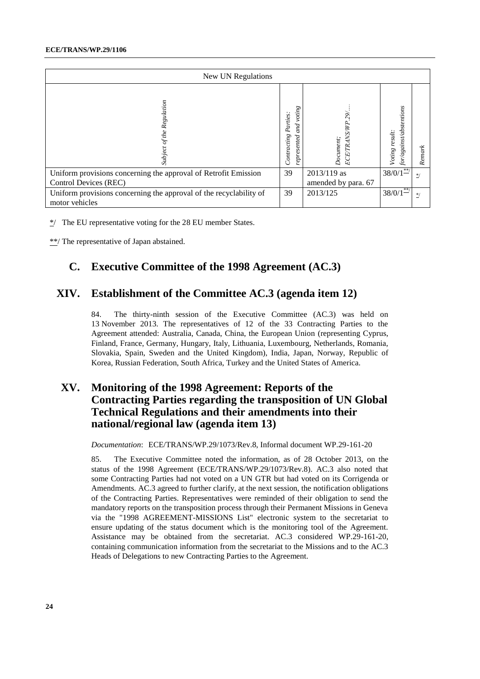| New UN Regulations                                                                       |                                                              |                                      |                                             |        |
|------------------------------------------------------------------------------------------|--------------------------------------------------------------|--------------------------------------|---------------------------------------------|--------|
| Subject of the Regulation                                                                | voting<br>Parties:<br>pи<br>d<br>Contracting<br>ented<br>Sə. | TRANS/WP.29/<br>Document;<br>ECE     | or/against/abstentions<br>result:<br>Voting | Remark |
| Uniform provisions concerning the approval of Retrofit Emission<br>Control Devices (REC) | 39                                                           | $2013/119$ as<br>amended by para. 67 | $38/0/1$ <sup>**</sup>                      | $*$    |
| Uniform provisions concerning the approval of the recyclability of<br>motor vehicles     | 39                                                           | 2013/125                             | $38/0/1$ <sup>**</sup> /                    | $*$    |

 $\frac{*}{2}$  The EU representative voting for the 28 EU member States.

\*\*/ The representative of Japan abstained.

# <span id="page-23-0"></span>**C. Executive Committee of the 1998 Agreement (AC.3)**

# <span id="page-23-1"></span>**XIV. Establishment of the Committee AC.3 (agenda item 12)**

84. The thirty-ninth session of the Executive Committee (AC.3) was held on 13 November 2013. The representatives of 12 of the 33 Contracting Parties to the Agreement attended: Australia, Canada, China, the European Union (representing Cyprus, Finland, France, Germany, Hungary, Italy, Lithuania, Luxembourg, Netherlands, Romania, Slovakia, Spain, Sweden and the United Kingdom), India, Japan, Norway, Republic of Korea, Russian Federation, South Africa, Turkey and the United States of America.

# <span id="page-23-2"></span>**XV. Monitoring of the 1998 Agreement: Reports of the Contracting Parties regarding the transposition of UN Global Technical Regulations and their amendments into their national/regional law (agenda item 13)**

*Documentation*: ECE/TRANS/WP.29/1073/Rev.8, Informal document WP.29-161-20

85. The Executive Committee noted the information, as of 28 October 2013, on the status of the 1998 Agreement (ECE/TRANS/WP.29/1073/Rev.8). AC.3 also noted that some Contracting Parties had not voted on a UN GTR but had voted on its Corrigenda or Amendments. AC.3 agreed to further clarify, at the next session, the notification obligations of the Contracting Parties. Representatives were reminded of their obligation to send the mandatory reports on the transposition process through their Permanent Missions in Geneva via the "1998 AGREEMENT-MISSIONS List" electronic system to the secretariat to ensure updating of the status document which is the monitoring tool of the Agreement. Assistance may be obtained from the secretariat. AC.3 considered WP.29-161-20, containing communication information from the secretariat to the Missions and to the AC.3 Heads of Delegations to new Contracting Parties to the Agreement.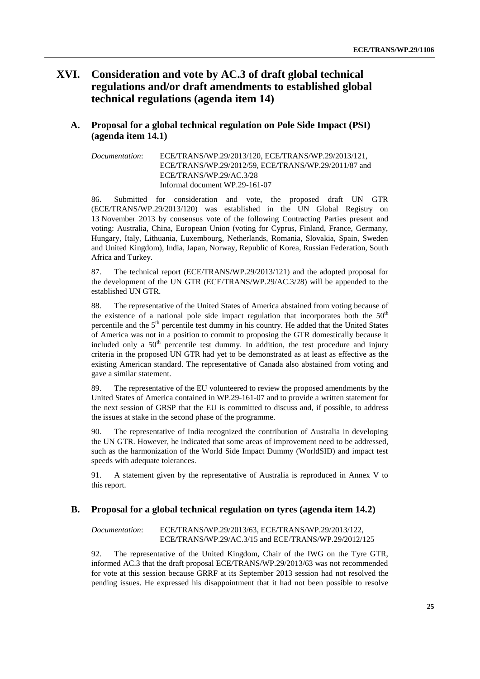# <span id="page-24-0"></span>**XVI. Consideration and vote by AC.3 of draft global technical regulations and/or draft amendments to established global technical regulations (agenda item 14)**

### <span id="page-24-1"></span>**A. Proposal for a global technical regulation on Pole Side Impact (PSI) (agenda item 14.1)**

*Documentation*: ECE/TRANS/WP.29/2013/120, ECE/TRANS/WP.29/2013/121, ECE/TRANS/WP.29/2012/59, ECE/TRANS/WP.29/2011/87 and ECE/TRANS/WP.29/AC.3/28 Informal document WP.29-161-07

86. Submitted for consideration and vote, the proposed draft UN GTR (ECE/TRANS/WP.29/2013/120) was established in the UN Global Registry on 13 November 2013 by consensus vote of the following Contracting Parties present and voting: Australia, China, European Union (voting for Cyprus, Finland, France, Germany, Hungary, Italy, Lithuania, Luxembourg, Netherlands, Romania, Slovakia, Spain, Sweden and United Kingdom), India, Japan, Norway, Republic of Korea, Russian Federation, South Africa and Turkey.

87. The technical report (ECE/TRANS/WP.29/2013/121) and the adopted proposal for the development of the UN GTR (ECE/TRANS/WP.29/AC.3/28) will be appended to the established UN GTR.

88. The representative of the United States of America abstained from voting because of the existence of a national pole side impact regulation that incorporates both the  $50<sup>th</sup>$ percentile and the  $5<sup>th</sup>$  percentile test dummy in his country. He added that the United States of America was not in a position to commit to proposing the GTR domestically because it included only a  $50<sup>th</sup>$  percentile test dummy. In addition, the test procedure and injury criteria in the proposed UN GTR had yet to be demonstrated as at least as effective as the existing American standard. The representative of Canada also abstained from voting and gave a similar statement.

89. The representative of the EU volunteered to review the proposed amendments by the United States of America contained in WP.29-161-07 and to provide a written statement for the next session of GRSP that the EU is committed to discuss and, if possible, to address the issues at stake in the second phase of the programme.

90. The representative of India recognized the contribution of Australia in developing the UN GTR. However, he indicated that some areas of improvement need to be addressed, such as the harmonization of the World Side Impact Dummy (WorldSID) and impact test speeds with adequate tolerances.

91. A statement given by the representative of Australia is reproduced in Annex V to this report.

### <span id="page-24-2"></span>**B. Proposal for a global technical regulation on tyres (agenda item 14.2)**

*Documentation*: ECE/TRANS/WP.29/2013/63, ECE/TRANS/WP.29/2013/122, ECE/TRANS/WP.29/AC.3/15 and ECE/TRANS/WP.29/2012/125

92. The representative of the United Kingdom, Chair of the IWG on the Tyre GTR, informed AC.3 that the draft proposal ECE/TRANS/WP.29/2013/63 was not recommended for vote at this session because GRRF at its September 2013 session had not resolved the pending issues. He expressed his disappointment that it had not been possible to resolve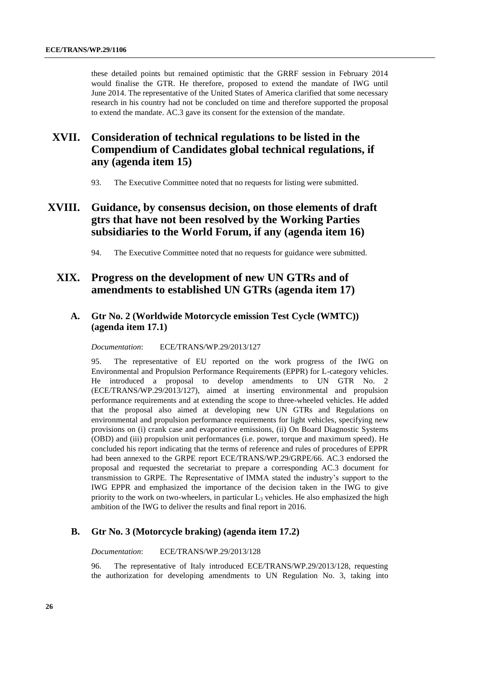these detailed points but remained optimistic that the GRRF session in February 2014 would finalise the GTR. He therefore, proposed to extend the mandate of IWG until June 2014. The representative of the United States of America clarified that some necessary research in his country had not be concluded on time and therefore supported the proposal to extend the mandate. AC.3 gave its consent for the extension of the mandate.

# <span id="page-25-0"></span>**XVII. Consideration of technical regulations to be listed in the Compendium of Candidates global technical regulations, if any (agenda item 15)**

93. The Executive Committee noted that no requests for listing were submitted.

# <span id="page-25-1"></span>**XVIII. Guidance, by consensus decision, on those elements of draft gtrs that have not been resolved by the Working Parties subsidiaries to the World Forum, if any (agenda item 16)**

94. The Executive Committee noted that no requests for guidance were submitted.

## <span id="page-25-2"></span>**XIX. Progress on the development of new UN GTRs and of amendments to established UN GTRs (agenda item 17)**

### <span id="page-25-3"></span>**A. Gtr No. 2 (Worldwide Motorcycle emission Test Cycle (WMTC)) (agenda item 17.1)**

*Documentation*: ECE/TRANS/WP.29/2013/127

95. The representative of EU reported on the work progress of the IWG on Environmental and Propulsion Performance Requirements (EPPR) for L-category vehicles. He introduced a proposal to develop amendments to UN GTR No. 2 (ECE/TRANS/WP.29/2013/127), aimed at inserting environmental and propulsion performance requirements and at extending the scope to three-wheeled vehicles. He added that the proposal also aimed at developing new UN GTRs and Regulations on environmental and propulsion performance requirements for light vehicles, specifying new provisions on (i) crank case and evaporative emissions, (ii) On Board Diagnostic Systems (OBD) and (iii) propulsion unit performances (i.e. power, torque and maximum speed). He concluded his report indicating that the terms of reference and rules of procedures of EPPR had been annexed to the GRPE report ECE/TRANS/WP.29/GRPE/66. AC.3 endorsed the proposal and requested the secretariat to prepare a corresponding AC.3 document for transmission to GRPE. The Representative of IMMA stated the industry's support to the IWG EPPR and emphasized the importance of the decision taken in the IWG to give priority to the work on two-wheelers, in particular  $L_3$  vehicles. He also emphasized the high ambition of the IWG to deliver the results and final report in 2016.

### <span id="page-25-4"></span>**B. Gtr No. 3 (Motorcycle braking) (agenda item 17.2)**

*Documentation*: ECE/TRANS/WP.29/2013/128

96. The representative of Italy introduced ECE/TRANS/WP.29/2013/128, requesting the authorization for developing amendments to UN Regulation No. 3, taking into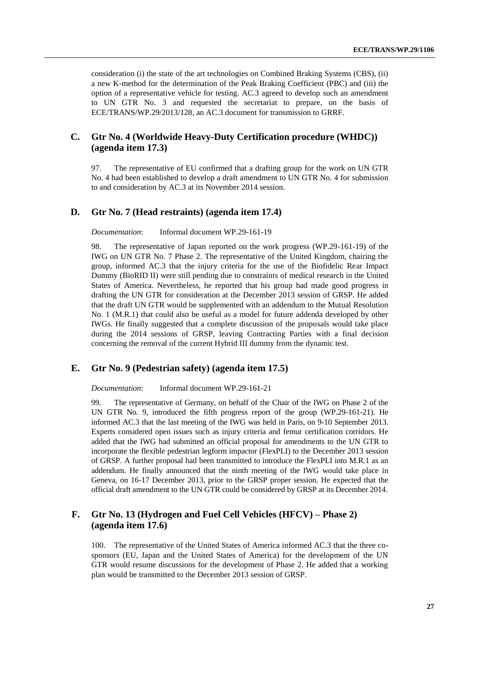consideration (i) the state of the art technologies on Combined Braking Systems (CBS), (ii) a new K-method for the determination of the Peak Braking Coefficient (PBC) and (iii) the option of a representative vehicle for testing. AC.3 agreed to develop such an amendment to UN GTR No. 3 and requested the secretariat to prepare, on the basis of ECE/TRANS/WP.29/2013/128, an AC.3 document for transmission to GRRF.

### <span id="page-26-0"></span>**C. Gtr No. 4 (Worldwide Heavy-Duty Certification procedure (WHDC)) (agenda item 17.3)**

97. The representative of EU confirmed that a drafting group for the work on UN GTR No. 4 had been established to develop a draft amendment to UN GTR No. 4 for submission to and consideration by AC.3 at its November 2014 session.

### <span id="page-26-1"></span>**D. Gtr No. 7 (Head restraints) (agenda item 17.4)**

#### *Documentation*: Informal document WP.29-161-19

98. The representative of Japan reported on the work progress (WP.29-161-19) of the IWG on UN GTR No. 7 Phase 2. The representative of the United Kingdom, chairing the group, informed AC.3 that the injury criteria for the use of the Biofidelic Rear Impact Dummy (BioRID II) were still pending due to constraints of medical research in the United States of America. Nevertheless, he reported that his group had made good progress in drafting the UN GTR for consideration at the December 2013 session of GRSP. He added that the draft UN GTR would be supplemented with an addendum to the Mutual Resolution No. 1 (M.R.1) that could also be useful as a model for future addenda developed by other IWGs. He finally suggested that a complete discussion of the proposals would take place during the 2014 sessions of GRSP, leaving Contracting Parties with a final decision concerning the removal of the current Hybrid III dummy from the dynamic test.

### <span id="page-26-2"></span>**E. Gtr No. 9 (Pedestrian safety) (agenda item 17.5)**

*Documentation*: Informal document WP.29-161-21

99. The representative of Germany, on behalf of the Chair of the IWG on Phase 2 of the UN GTR No. 9, introduced the fifth progress report of the group (WP.29-161-21). He informed AC.3 that the last meeting of the IWG was held in Paris, on 9-10 September 2013. Experts considered open issues such as injury criteria and femur certification corridors. He added that the IWG had submitted an official proposal for amendments to the UN GTR to incorporate the flexible pedestrian legform impactor (FlexPLI) to the December 2013 session of GRSP. A further proposal had been transmitted to introduce the FlexPLI into M.R.1 as an addendum. He finally announced that the ninth meeting of the IWG would take place in Geneva, on 16-17 December 2013, prior to the GRSP proper session. He expected that the official draft amendment to the UN GTR could be considered by GRSP at its December 2014.

### <span id="page-26-3"></span>**F. Gtr No. 13 (Hydrogen and Fuel Cell Vehicles (HFCV) – Phase 2) (agenda item 17.6)**

100. The representative of the United States of America informed AC.3 that the three cosponsors (EU, Japan and the United States of America) for the development of the UN GTR would resume discussions for the development of Phase 2. He added that a working plan would be transmitted to the December 2013 session of GRSP.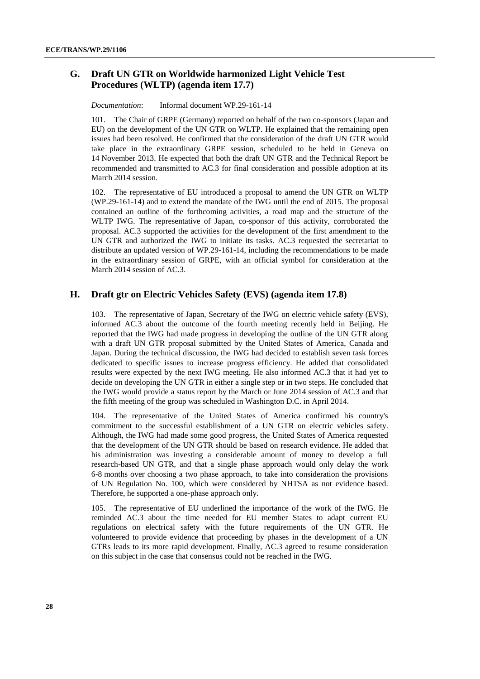### <span id="page-27-0"></span>**G. Draft UN GTR on Worldwide harmonized Light Vehicle Test Procedures (WLTP) (agenda item 17.7)**

*Documentation*: Informal document WP.29-161-14

101. The Chair of GRPE (Germany) reported on behalf of the two co-sponsors (Japan and EU) on the development of the UN GTR on WLTP. He explained that the remaining open issues had been resolved. He confirmed that the consideration of the draft UN GTR would take place in the extraordinary GRPE session, scheduled to be held in Geneva on 14 November 2013. He expected that both the draft UN GTR and the Technical Report be recommended and transmitted to AC.3 for final consideration and possible adoption at its March 2014 session.

102. The representative of EU introduced a proposal to amend the UN GTR on WLTP (WP.29-161-14) and to extend the mandate of the IWG until the end of 2015. The proposal contained an outline of the forthcoming activities, a road map and the structure of the WLTP IWG. The representative of Japan, co-sponsor of this activity, corroborated the proposal. AC.3 supported the activities for the development of the first amendment to the UN GTR and authorized the IWG to initiate its tasks. AC.3 requested the secretariat to distribute an updated version of WP.29-161-14, including the recommendations to be made in the extraordinary session of GRPE, with an official symbol for consideration at the March 2014 session of AC.3.

#### <span id="page-27-1"></span>**H. Draft gtr on Electric Vehicles Safety (EVS) (agenda item 17.8)**

103. The representative of Japan, Secretary of the IWG on electric vehicle safety (EVS), informed AC.3 about the outcome of the fourth meeting recently held in Beijing. He reported that the IWG had made progress in developing the outline of the UN GTR along with a draft UN GTR proposal submitted by the United States of America, Canada and Japan. During the technical discussion, the IWG had decided to establish seven task forces dedicated to specific issues to increase progress efficiency. He added that consolidated results were expected by the next IWG meeting. He also informed AC.3 that it had yet to decide on developing the UN GTR in either a single step or in two steps. He concluded that the IWG would provide a status report by the March or June 2014 session of AC.3 and that the fifth meeting of the group was scheduled in Washington D.C. in April 2014.

The representative of the United States of America confirmed his country's commitment to the successful establishment of a UN GTR on electric vehicles safety. Although, the IWG had made some good progress, the United States of America requested that the development of the UN GTR should be based on research evidence. He added that his administration was investing a considerable amount of money to develop a full research-based UN GTR, and that a single phase approach would only delay the work 6-8 months over choosing a two phase approach, to take into consideration the provisions of UN Regulation No. 100, which were considered by NHTSA as not evidence based. Therefore, he supported a one-phase approach only.

105. The representative of EU underlined the importance of the work of the IWG. He reminded AC.3 about the time needed for EU member States to adapt current EU regulations on electrical safety with the future requirements of the UN GTR. He volunteered to provide evidence that proceeding by phases in the development of a UN GTRs leads to its more rapid development. Finally, AC.3 agreed to resume consideration on this subject in the case that consensus could not be reached in the IWG.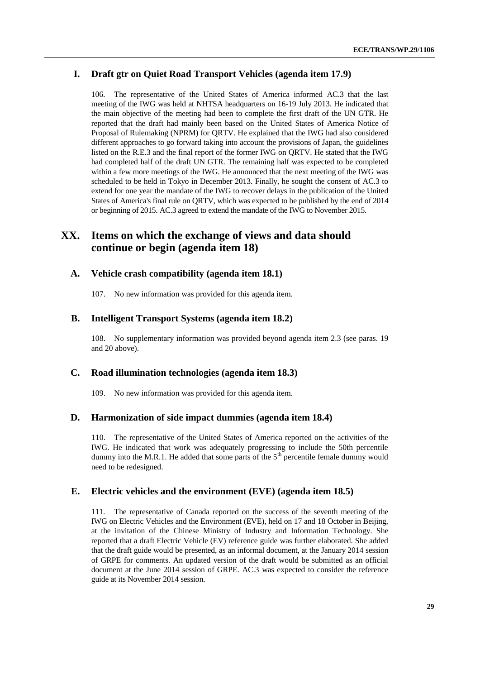### <span id="page-28-0"></span>**I. Draft gtr on Quiet Road Transport Vehicles (agenda item 17.9)**

106. The representative of the United States of America informed AC.3 that the last meeting of the IWG was held at NHTSA headquarters on 16-19 July 2013. He indicated that the main objective of the meeting had been to complete the first draft of the UN GTR. He reported that the draft had mainly been based on the United States of America Notice of Proposal of Rulemaking (NPRM) for QRTV. He explained that the IWG had also considered different approaches to go forward taking into account the provisions of Japan, the guidelines listed on the R.E.3 and the final report of the former IWG on QRTV. He stated that the IWG had completed half of the draft UN GTR. The remaining half was expected to be completed within a few more meetings of the IWG. He announced that the next meeting of the IWG was scheduled to be held in Tokyo in December 2013. Finally, he sought the consent of AC.3 to extend for one year the mandate of the IWG to recover delays in the publication of the United States of America's final rule on QRTV, which was expected to be published by the end of 2014 or beginning of 2015. AC.3 agreed to extend the mandate of the IWG to November 2015.

## <span id="page-28-1"></span>**XX. Items on which the exchange of views and data should continue or begin (agenda item 18)**

#### <span id="page-28-2"></span>**A. Vehicle crash compatibility (agenda item 18.1)**

107. No new information was provided for this agenda item.

#### <span id="page-28-3"></span>**B. Intelligent Transport Systems (agenda item 18.2)**

108. No supplementary information was provided beyond agenda item 2.3 (see paras. 19 and 20 above).

#### <span id="page-28-4"></span>**C. Road illumination technologies (agenda item 18.3)**

109. No new information was provided for this agenda item.

#### <span id="page-28-5"></span>**D. Harmonization of side impact dummies (agenda item 18.4)**

110. The representative of the United States of America reported on the activities of the IWG. He indicated that work was adequately progressing to include the 50th percentile dummy into the M.R.1. He added that some parts of the  $5<sup>th</sup>$  percentile female dummy would need to be redesigned.

### <span id="page-28-6"></span>**E. Electric vehicles and the environment (EVE) (agenda item 18.5)**

111. The representative of Canada reported on the success of the seventh meeting of the IWG on Electric Vehicles and the Environment (EVE), held on 17 and 18 October in Beijing, at the invitation of the Chinese Ministry of Industry and Information Technology. She reported that a draft Electric Vehicle (EV) reference guide was further elaborated. She added that the draft guide would be presented, as an informal document, at the January 2014 session of GRPE for comments. An updated version of the draft would be submitted as an official document at the June 2014 session of GRPE. AC.3 was expected to consider the reference guide at its November 2014 session.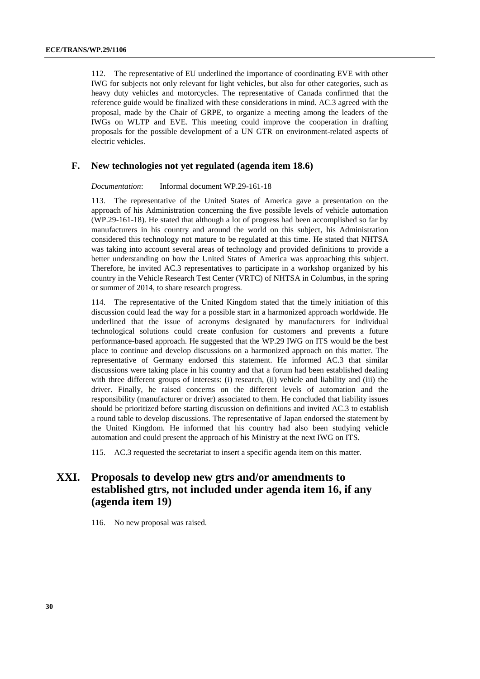112. The representative of EU underlined the importance of coordinating EVE with other IWG for subjects not only relevant for light vehicles, but also for other categories, such as heavy duty vehicles and motorcycles. The representative of Canada confirmed that the reference guide would be finalized with these considerations in mind. AC.3 agreed with the proposal, made by the Chair of GRPE, to organize a meeting among the leaders of the IWGs on WLTP and EVE. This meeting could improve the cooperation in drafting proposals for the possible development of a UN GTR on environment-related aspects of electric vehicles.

### <span id="page-29-0"></span>**F. New technologies not yet regulated (agenda item 18.6)**

*Documentation*: Informal document WP.29-161-18

113. The representative of the United States of America gave a presentation on the approach of his Administration concerning the five possible levels of vehicle automation (WP.29-161-18). He stated that although a lot of progress had been accomplished so far by manufacturers in his country and around the world on this subject, his Administration considered this technology not mature to be regulated at this time. He stated that NHTSA was taking into account several areas of technology and provided definitions to provide a better understanding on how the United States of America was approaching this subject. Therefore, he invited AC.3 representatives to participate in a workshop organized by his country in the Vehicle Research Test Center (VRTC) of NHTSA in Columbus, in the spring or summer of 2014, to share research progress.

114. The representative of the United Kingdom stated that the timely initiation of this discussion could lead the way for a possible start in a harmonized approach worldwide. He underlined that the issue of acronyms designated by manufacturers for individual technological solutions could create confusion for customers and prevents a future performance-based approach. He suggested that the WP.29 IWG on ITS would be the best place to continue and develop discussions on a harmonized approach on this matter. The representative of Germany endorsed this statement. He informed AC.3 that similar discussions were taking place in his country and that a forum had been established dealing with three different groups of interests: (i) research, (ii) vehicle and liability and (iii) the driver. Finally, he raised concerns on the different levels of automation and the responsibility (manufacturer or driver) associated to them. He concluded that liability issues should be prioritized before starting discussion on definitions and invited AC.3 to establish a round table to develop discussions. The representative of Japan endorsed the statement by the United Kingdom. He informed that his country had also been studying vehicle automation and could present the approach of his Ministry at the next IWG on ITS.

115. AC.3 requested the secretariat to insert a specific agenda item on this matter.

# <span id="page-29-1"></span>**XXI. Proposals to develop new gtrs and/or amendments to established gtrs, not included under agenda item 16, if any (agenda item 19)**

116. No new proposal was raised.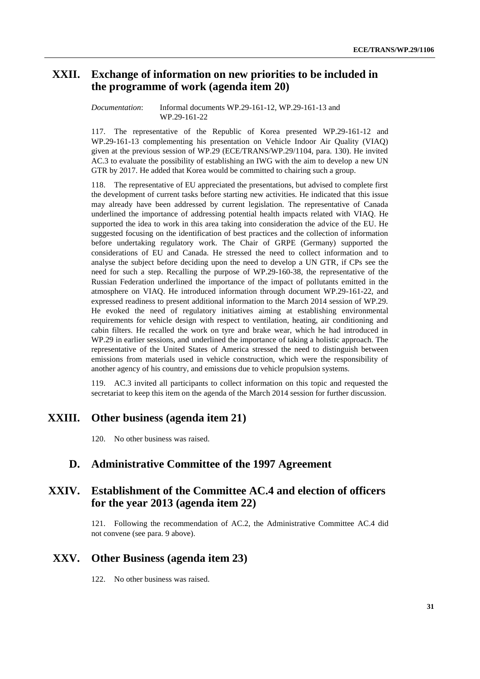# <span id="page-30-0"></span>**XXII. Exchange of information on new priorities to be included in the programme of work (agenda item 20)**

#### *Documentation*: Informal documents WP.29-161-12, WP.29-161-13 and WP.29-161-22

117. The representative of the Republic of Korea presented WP.29-161-12 and WP.29-161-13 complementing his presentation on Vehicle Indoor Air Quality (VIAQ) given at the previous session of WP.29 (ECE/TRANS/WP.29/1104, para. 130). He invited AC.3 to evaluate the possibility of establishing an IWG with the aim to develop a new UN GTR by 2017. He added that Korea would be committed to chairing such a group.

118. The representative of EU appreciated the presentations, but advised to complete first the development of current tasks before starting new activities. He indicated that this issue may already have been addressed by current legislation. The representative of Canada underlined the importance of addressing potential health impacts related with VIAQ. He supported the idea to work in this area taking into consideration the advice of the EU. He suggested focusing on the identification of best practices and the collection of information before undertaking regulatory work. The Chair of GRPE (Germany) supported the considerations of EU and Canada. He stressed the need to collect information and to analyse the subject before deciding upon the need to develop a UN GTR, if CPs see the need for such a step. Recalling the purpose of WP.29-160-38, the representative of the Russian Federation underlined the importance of the impact of pollutants emitted in the atmosphere on VIAQ. He introduced information through document WP.29-161-22, and expressed readiness to present additional information to the March 2014 session of WP.29. He evoked the need of regulatory initiatives aiming at establishing environmental requirements for vehicle design with respect to ventilation, heating, air conditioning and cabin filters. He recalled the work on tyre and brake wear, which he had introduced in WP.29 in earlier sessions, and underlined the importance of taking a holistic approach. The representative of the United States of America stressed the need to distinguish between emissions from materials used in vehicle construction, which were the responsibility of another agency of his country, and emissions due to vehicle propulsion systems.

119. AC.3 invited all participants to collect information on this topic and requested the secretariat to keep this item on the agenda of the March 2014 session for further discussion.

## <span id="page-30-1"></span>**XXIII. Other business (agenda item 21)**

120. No other business was raised.

## <span id="page-30-2"></span>**D. Administrative Committee of the 1997 Agreement**

# <span id="page-30-3"></span>**XXIV. Establishment of the Committee AC.4 and election of officers for the year 2013 (agenda item 22)**

121. Following the recommendation of AC.2, the Administrative Committee AC.4 did not convene (see para. 9 above).

## <span id="page-30-4"></span>**XXV. Other Business (agenda item 23)**

122. No other business was raised.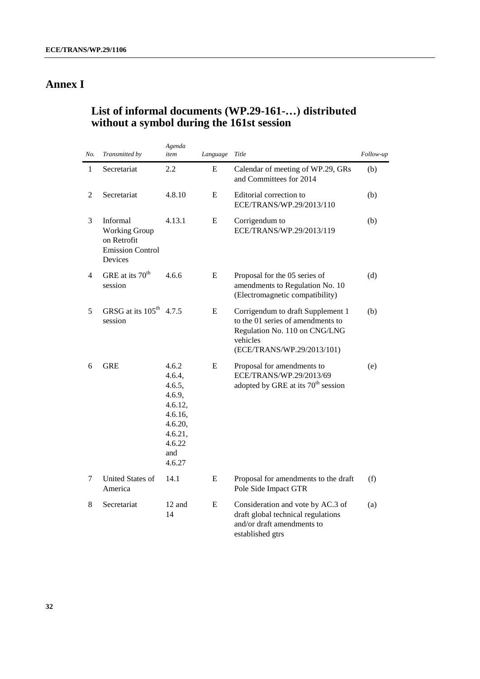# <span id="page-31-0"></span>**Annex I**

# <span id="page-31-1"></span>**List of informal documents (WP.29-161-…) distributed without a symbol during the 161st session**

| No.            | Transmitted by                                                                        | Agenda<br>item                                                                                             | Language  | Title                                                                                                                                             | Follow-up |
|----------------|---------------------------------------------------------------------------------------|------------------------------------------------------------------------------------------------------------|-----------|---------------------------------------------------------------------------------------------------------------------------------------------------|-----------|
| $\mathbf{1}$   | Secretariat                                                                           | 2.2                                                                                                        | E         | Calendar of meeting of WP.29, GRs<br>and Committees for 2014                                                                                      | (b)       |
| 2              | Secretariat                                                                           | 4.8.10                                                                                                     | E         | Editorial correction to<br>ECE/TRANS/WP.29/2013/110                                                                                               | (b)       |
| 3              | Informal<br><b>Working Group</b><br>on Retrofit<br><b>Emission Control</b><br>Devices | 4.13.1                                                                                                     | E         | Corrigendum to<br>ECE/TRANS/WP.29/2013/119                                                                                                        | (b)       |
| $\overline{4}$ | GRE at its 70 <sup>th</sup><br>session                                                | 4.6.6                                                                                                      | E         | Proposal for the 05 series of<br>amendments to Regulation No. 10<br>(Electromagnetic compatibility)                                               | (d)       |
| 5              | GRSG at its 105 <sup>th</sup> 4.7.5<br>session                                        |                                                                                                            | E         | Corrigendum to draft Supplement 1<br>to the 01 series of amendments to<br>Regulation No. 110 on CNG/LNG<br>vehicles<br>(ECE/TRANS/WP.29/2013/101) | (b)       |
| 6              | <b>GRE</b>                                                                            | 4.6.2<br>4.6.4,<br>4.6.5,<br>4.6.9,<br>4.6.12,<br>4.6.16,<br>4.6.20,<br>4.6.21,<br>4.6.22<br>and<br>4.6.27 | E         | Proposal for amendments to<br>ECE/TRANS/WP.29/2013/69<br>adopted by GRE at its 70 <sup>th</sup> session                                           | (e)       |
| 7              | United States of<br>America                                                           | 14.1                                                                                                       | E         | Proposal for amendments to the draft<br>Pole Side Impact GTR                                                                                      | (f)       |
| 8              | Secretariat                                                                           | 12 and<br>14                                                                                               | ${\bf E}$ | Consideration and vote by AC.3 of<br>draft global technical regulations<br>and/or draft amendments to<br>established gtrs                         | (a)       |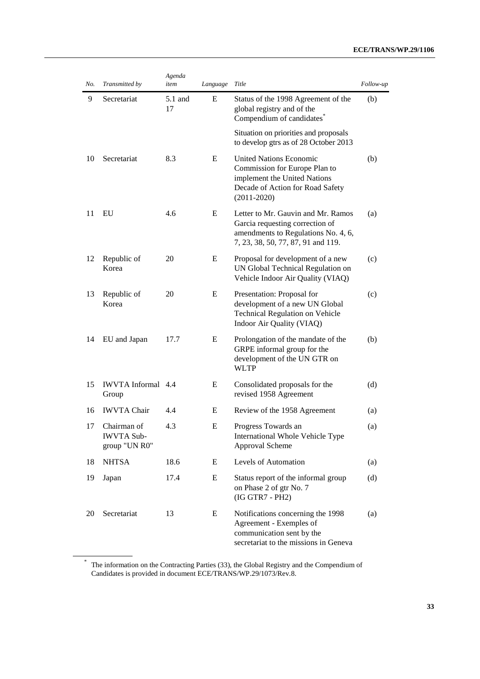### **ECE/TRANS/WP.29/1106**

| No. | Transmitted by                                    | Agenda<br>item | Language | Title                                                                                                                                                  | Follow-up |
|-----|---------------------------------------------------|----------------|----------|--------------------------------------------------------------------------------------------------------------------------------------------------------|-----------|
| 9   | Secretariat                                       | 5.1 and<br>17  | E        | Status of the 1998 Agreement of the<br>global registry and of the<br>Compendium of candidates <sup>®</sup>                                             | (b)       |
|     |                                                   |                |          | Situation on priorities and proposals<br>to develop gtrs as of 28 October 2013                                                                         |           |
| 10  | Secretariat                                       | 8.3            | E        | <b>United Nations Economic</b><br>Commission for Europe Plan to<br>implement the United Nations<br>Decade of Action for Road Safety<br>$(2011 - 2020)$ | (b)       |
| 11  | EU                                                | 4.6            | E        | Letter to Mr. Gauvin and Mr. Ramos<br>Garcia requesting correction of<br>amendments to Regulations No. 4, 6,<br>7, 23, 38, 50, 77, 87, 91 and 119.     | (a)       |
| 12  | Republic of<br>Korea                              | 20             | E        | Proposal for development of a new<br>UN Global Technical Regulation on<br>Vehicle Indoor Air Quality (VIAQ)                                            | (c)       |
| 13  | Republic of<br>Korea                              | 20             | E        | Presentation: Proposal for<br>development of a new UN Global<br><b>Technical Regulation on Vehicle</b><br>Indoor Air Quality (VIAQ)                    | (c)       |
| 14  | EU and Japan                                      | 17.7           | E        | Prolongation of the mandate of the<br>GRPE informal group for the<br>development of the UN GTR on<br><b>WLTP</b>                                       | (b)       |
| 15  | <b>IWVTA</b> Informal 4.4<br>Group                |                | E        | Consolidated proposals for the<br>revised 1958 Agreement                                                                                               | (d)       |
| 16  | <b>IWVTA Chair</b>                                | 4.4            | E        | Review of the 1958 Agreement                                                                                                                           | (a)       |
| 17  | Chairman of<br><b>IWVTA Sub-</b><br>group "UN R0" | 4.3            | E        | Progress Towards an<br>International Whole Vehicle Type<br>Approval Scheme                                                                             | (a)       |
| 18  | <b>NHTSA</b>                                      | 18.6           | E        | Levels of Automation                                                                                                                                   | (a)       |
| 19  | Japan                                             | 17.4           | E        | Status report of the informal group<br>on Phase 2 of gtr No. 7<br>(IG GTR7 - PH2)                                                                      | (d)       |
| 20  | Secretariat                                       | 13             | E        | Notifications concerning the 1998<br>Agreement - Exemples of<br>communication sent by the<br>secretariat to the missions in Geneva                     | (a)       |

<sup>\*</sup> The information on the Contracting Parties (33), the Global Registry and the Compendium of Candidates is provided in document ECE/TRANS/WP.29/1073/Rev.8.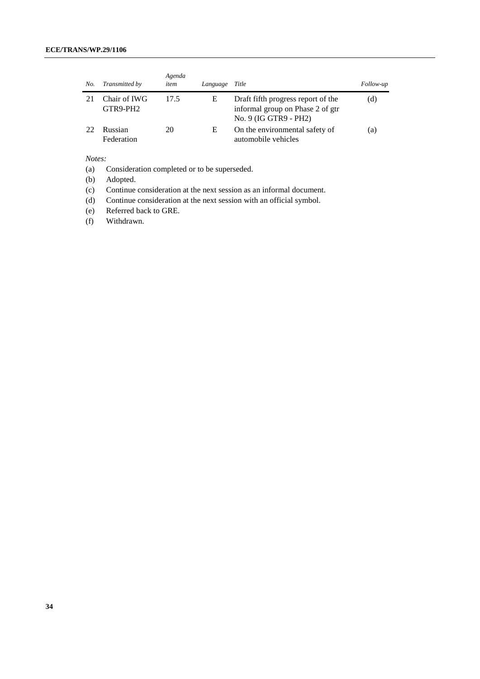### **ECE/TRANS/WP.29/1106**

| No. | Transmitted by           | Agenda<br>item | Language | Title                                                                                           | Follow-up |
|-----|--------------------------|----------------|----------|-------------------------------------------------------------------------------------------------|-----------|
|     | Chair of IWG<br>GTR9-PH2 | 17.5           | E        | Draft fifth progress report of the<br>informal group on Phase 2 of gtr<br>No. 9 (IG GTR9 - PH2) | (d)       |
| 22  | Russian<br>Federation    | 20             | E        | On the environmental safety of<br>automobile vehicles                                           | (a)       |

*Notes:*

(a) Consideration completed or to be superseded.

(b) Adopted.

(c) Continue consideration at the next session as an informal document.

(d) Continue consideration at the next session with an official symbol.

(e) Referred back to GRE.

(f) Withdrawn.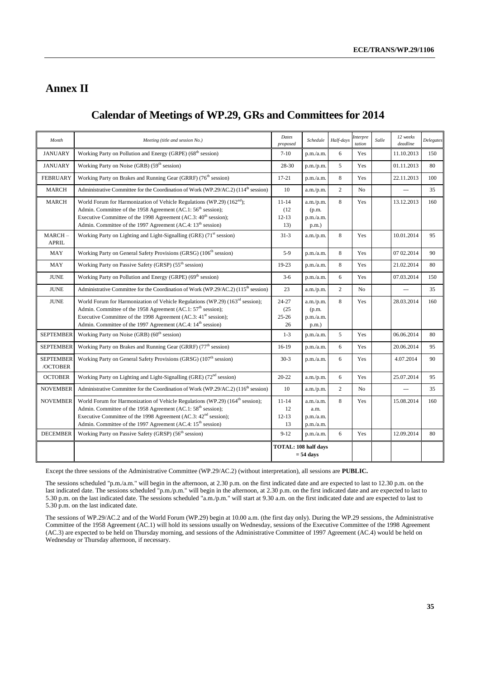# <span id="page-34-0"></span>**Annex II**

# <span id="page-34-1"></span>**Calendar of Meetings of WP.29, GRs and Committees for 2014**

| Month                        | Meeting (title and session No.)                                                                                                                                                                                                                                                                                                 | Dates<br>proposed                           | Schedule                                    | Half-days      | Interpre<br>tation | Salle | 12 weeks<br>deadline | Delegates |
|------------------------------|---------------------------------------------------------------------------------------------------------------------------------------------------------------------------------------------------------------------------------------------------------------------------------------------------------------------------------|---------------------------------------------|---------------------------------------------|----------------|--------------------|-------|----------------------|-----------|
| <b>JANUARY</b>               | Working Party on Pollution and Energy (GRPE) (68 <sup>th</sup> session)                                                                                                                                                                                                                                                         | $7 - 10$                                    | p.m./a.m.                                   | 6              | Yes                |       | 11.10.2013           | 150       |
| <b>JANUARY</b>               | Working Party on Noise (GRB) (59 <sup>th</sup> session)                                                                                                                                                                                                                                                                         | 28-30                                       | p.m./p.m.                                   | 5              | Yes                |       | 01.11.2013           | 80        |
| <b>FEBRUARY</b>              | Working Party on Brakes and Running Gear (GRRF) (76 <sup>th</sup> session)                                                                                                                                                                                                                                                      | $17 - 21$                                   | p.m./a.m.                                   | 8              | Yes                |       | 22.11.2013           | 100       |
| <b>MARCH</b>                 | Administrative Committee for the Coordination of Work (WP.29/AC.2) (114 <sup>th</sup> session)                                                                                                                                                                                                                                  | 10                                          | a.m./p.m.                                   | $\overline{2}$ | No                 |       | $\overline{a}$       | 35        |
| <b>MARCH</b>                 | World Forum for Harmonization of Vehicle Regulations (WP.29) $(162nd)$ ;<br>Admin. Committee of the 1958 Agreement (AC.1: 56 <sup>th</sup> session);<br>Executive Committee of the 1998 Agreement (AC.3: 40 <sup>th</sup> session);<br>Admin. Committee of the 1997 Agreement (AC.4: 13 <sup>th</sup> session)                  | $11 - 14$<br>(12)<br>$12 - 13$<br>13)       | a.m./p.m.<br>(p.m.<br>p.m./a.m.<br>$p.m.$ ) | 8              | Yes                |       | 13.12.2013           | 160       |
| MARCH-<br><b>APRIL</b>       | Working Party on Lighting and Light-Signalling (GRE) (71 <sup>st</sup> session)                                                                                                                                                                                                                                                 | $31 - 3$                                    | a.m./p.m.                                   | 8              | Yes                |       | 10.01.2014           | 95        |
| MAY                          | Working Party on General Safety Provisions (GRSG) (106 <sup>th</sup> session)                                                                                                                                                                                                                                                   | $5-9$                                       | p.m./a.m.                                   | 8              | Yes                |       | 07 02.2014           | 90        |
| <b>MAY</b>                   | Working Party on Passive Safety (GRSP) (55 <sup>th</sup> session)                                                                                                                                                                                                                                                               | $19-23$                                     | p.m./a.m.                                   | 8              | Yes                |       | 21.02.2014           | 80        |
| <b>JUNE</b>                  | Working Party on Pollution and Energy (GRPE) (69 <sup>th</sup> session)                                                                                                                                                                                                                                                         | $3-6$                                       | p.m./a.m.                                   | 6              | Yes                |       | 07.03.2014           | 150       |
| <b>JUNE</b>                  | Administrative Committee for the Coordination of Work (WP.29/AC.2) (115 <sup>th</sup> session)                                                                                                                                                                                                                                  | 23                                          | a.m./p.m.                                   | $\overline{2}$ | N <sub>0</sub>     |       | $\overline{a}$       | 35        |
| <b>JUNE</b>                  | World Forum for Harmonization of Vehicle Regulations (WP.29) (163 <sup>rd</sup> session);<br>Admin. Committee of the 1958 Agreement (AC.1: 57 <sup>th</sup> session);<br>Executive Committee of the 1998 Agreement (AC.3: 41 <sup>st</sup> session);<br>Admin. Committee of the 1997 Agreement (AC.4: 14 <sup>th</sup> session) | 24-27<br>(25)<br>$25 - 26$<br>26            | a.m./p.m.<br>(p.m.<br>p.m./a.m.<br>$p.m.$ ) | 8              | Yes                |       | 28.03.2014           | 160       |
| <b>SEPTEMBER</b>             | Working Party on Noise (GRB) (60 <sup>th</sup> session)                                                                                                                                                                                                                                                                         | $1 - 3$                                     | p.m./a.m.                                   | 5              | Yes                |       | 06.06.2014           | 80        |
| <b>SEPTEMBER</b>             | Working Party on Brakes and Running Gear (GRRF) (77 <sup>th</sup> session)                                                                                                                                                                                                                                                      | $16-19$                                     | p.m./a.m.                                   | 6              | Yes                |       | 20.06.2014           | 95        |
| <b>SEPTEMBER</b><br>/OCTOBER | Working Party on General Safety Provisions (GRSG) (107 <sup>th</sup> session)                                                                                                                                                                                                                                                   | $30-3$                                      | p.m./a.m.                                   | 6              | Yes                |       | 4.07.2014            | 90        |
| <b>OCTOBER</b>               | Working Party on Lighting and Light-Signalling (GRE) (72 <sup>nd</sup> session)                                                                                                                                                                                                                                                 | $20 - 22$                                   | a.m./p.m.                                   | 6              | Yes                |       | 25.07.2014           | 95        |
| <b>NOVEMBER</b>              | Administrative Committee for the Coordination of Work (WP.29/AC.2) (116 <sup>th</sup> session)                                                                                                                                                                                                                                  | 10                                          | a.m./p.m.                                   | $\overline{2}$ | No                 |       | $\overline{a}$       | 35        |
| <b>NOVEMBER</b>              | World Forum for Harmonization of Vehicle Regulations (WP.29) (164 <sup>th</sup> session);<br>Admin. Committee of the 1958 Agreement (AC.1: 58 <sup>th</sup> session);<br>Executive Committee of the 1998 Agreement (AC.3: 42 <sup>nd</sup> session);<br>Admin. Committee of the 1997 Agreement (AC.4: 15 <sup>th</sup> session) | $11 - 14$<br>12<br>$12 - 13$<br>13          | a.m./a.m.<br>a.m.<br>p.m./a.m.<br>p.m./a.m. | 8              | Yes                |       | 15.08.2014           | 160       |
| <b>DECEMBER</b>              | Working Party on Passive Safety (GRSP) (56 <sup>th</sup> session)                                                                                                                                                                                                                                                               | $9 - 12$                                    | p.m./a.m.                                   | 6              | Yes                |       | 12.09.2014           | 80        |
|                              |                                                                                                                                                                                                                                                                                                                                 | TOTAL: 108 half days<br>$= 54 \text{ days}$ |                                             |                |                    |       |                      |           |

Except the three sessions of the Administrative Committee (WP.29/AC.2) (without interpretation), all sessions are **PUBLIC.**

The sessions scheduled "p.m./a.m." will begin in the afternoon, at 2.30 p.m. on the first indicated date and are expected to last to 12.30 p.m. on the last indicated date. The sessions scheduled "p.m./p.m." will begin in the afternoon, at 2.30 p.m. on the first indicated date and are expected to last to 5.30 p.m. on the last indicated date. The sessions scheduled "a.m./p.m." will start at 9.30 a.m. on the first indicated date and are expected to last to 5.30 p.m. on the last indicated date.

The sessions of WP.29/AC.2 and of the World Forum (WP.29) begin at 10.00 a.m. (the first day only). During the WP.29 sessions, the Administrative Committee of the 1958 Agreement (AC.1) will hold its sessions usually on Wednesday, sessions of the Executive Committee of the 1998 Agreement (AC.3) are expected to be held on Thursday morning, and sessions of the Administrative Committee of 1997 Agreement (AC.4) would be held on Wednesday or Thursday afternoon, if necessary.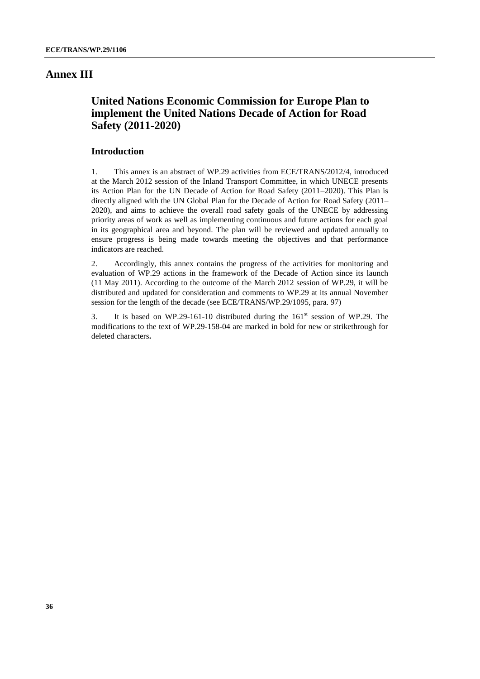### <span id="page-35-0"></span>**Annex III**

# <span id="page-35-1"></span>**United Nations Economic Commission for Europe Plan to implement the United Nations Decade of Action for Road Safety (2011-2020)**

### **Introduction**

1. This annex is an abstract of WP.29 activities from ECE/TRANS/2012/4, introduced at the March 2012 session of the Inland Transport Committee, in which UNECE presents its Action Plan for the UN Decade of Action for Road Safety (2011–2020). This Plan is directly aligned with the UN Global Plan for the Decade of Action for Road Safety (2011– 2020), and aims to achieve the overall road safety goals of the UNECE by addressing priority areas of work as well as implementing continuous and future actions for each goal in its geographical area and beyond. The plan will be reviewed and updated annually to ensure progress is being made towards meeting the objectives and that performance indicators are reached.

2. Accordingly, this annex contains the progress of the activities for monitoring and evaluation of WP.29 actions in the framework of the Decade of Action since its launch (11 May 2011). According to the outcome of the March 2012 session of WP.29, it will be distributed and updated for consideration and comments to WP.29 at its annual November session for the length of the decade (see ECE/TRANS/WP.29/1095, para. 97)

3. It is based on WP.29-161-10 distributed during the  $161<sup>st</sup>$  session of WP.29. The modifications to the text of WP.29-158-04 are marked in bold for new or strikethrough for deleted characters**.**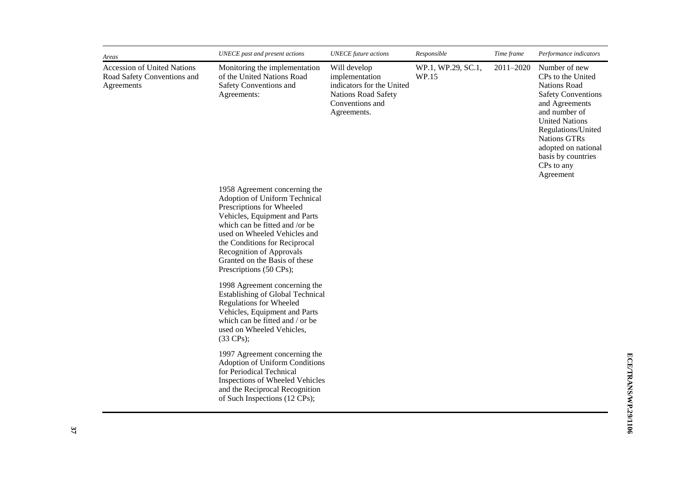| Areas                                                                           | UNECE past and present actions                                                                                                                                                                                                                                                                                          | <b>UNECE</b> future actions                                                                                                 | Responsible                 | Time frame | Performance indicators                                                                                                                                                                                                                                                  |
|---------------------------------------------------------------------------------|-------------------------------------------------------------------------------------------------------------------------------------------------------------------------------------------------------------------------------------------------------------------------------------------------------------------------|-----------------------------------------------------------------------------------------------------------------------------|-----------------------------|------------|-------------------------------------------------------------------------------------------------------------------------------------------------------------------------------------------------------------------------------------------------------------------------|
| <b>Accession of United Nations</b><br>Road Safety Conventions and<br>Agreements | Monitoring the implementation<br>of the United Nations Road<br>Safety Conventions and<br>Agreements:                                                                                                                                                                                                                    | Will develop<br>implementation<br>indicators for the United<br><b>Nations Road Safety</b><br>Conventions and<br>Agreements. | WP.1, WP.29, SC.1,<br>WP.15 | 2011-2020  | Number of new<br>CPs to the United<br><b>Nations Road</b><br><b>Safety Conventions</b><br>and Agreements<br>and number of<br><b>United Nations</b><br>Regulations/United<br><b>Nations GTRs</b><br>adopted on national<br>basis by countries<br>CPs to any<br>Agreement |
|                                                                                 | 1958 Agreement concerning the<br>Adoption of Uniform Technical<br>Prescriptions for Wheeled<br>Vehicles, Equipment and Parts<br>which can be fitted and /or be<br>used on Wheeled Vehicles and<br>the Conditions for Reciprocal<br>Recognition of Approvals<br>Granted on the Basis of these<br>Prescriptions (50 CPs); |                                                                                                                             |                             |            |                                                                                                                                                                                                                                                                         |
|                                                                                 | 1998 Agreement concerning the<br><b>Establishing of Global Technical</b><br><b>Regulations for Wheeled</b><br>Vehicles, Equipment and Parts<br>which can be fitted and / or be<br>used on Wheeled Vehicles,<br>$(33 \text{ CPs})$ ;                                                                                     |                                                                                                                             |                             |            |                                                                                                                                                                                                                                                                         |
|                                                                                 | 1997 Agreement concerning the<br>Adoption of Uniform Conditions<br>for Periodical Technical<br><b>Inspections of Wheeled Vehicles</b><br>and the Reciprocal Recognition<br>of Such Inspections (12 CPs);                                                                                                                |                                                                                                                             |                             |            |                                                                                                                                                                                                                                                                         |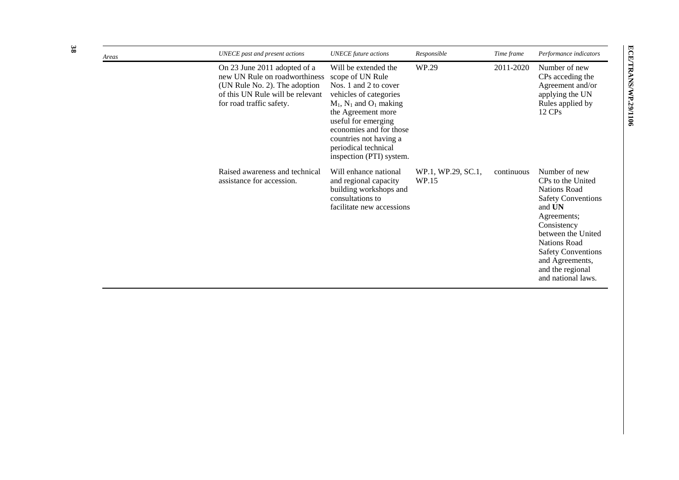| Areas | UNECE past and present actions                                                                                                                                 | <b>UNECE</b> future actions                                                                                                                                                                                                                                                         | Responsible                 | Time frame | Performance indicators                                                                                                                                                                                                                                                |
|-------|----------------------------------------------------------------------------------------------------------------------------------------------------------------|-------------------------------------------------------------------------------------------------------------------------------------------------------------------------------------------------------------------------------------------------------------------------------------|-----------------------------|------------|-----------------------------------------------------------------------------------------------------------------------------------------------------------------------------------------------------------------------------------------------------------------------|
|       | On 23 June 2011 adopted of a<br>new UN Rule on roadworthiness<br>(UN Rule No. 2). The adoption<br>of this UN Rule will be relevant<br>for road traffic safety. | Will be extended the<br>scope of UN Rule<br>Nos. 1 and 2 to cover<br>vehicles of categories<br>$M_1$ , $N_1$ and $O_1$ making<br>the Agreement more<br>useful for emerging<br>economies and for those<br>countries not having a<br>periodical technical<br>inspection (PTI) system. | WP.29                       | 2011-2020  | Number of new<br>CPs acceding the<br>Agreement and/or<br>applying the UN<br>Rules applied by<br>$12 \text{ CPs}$                                                                                                                                                      |
|       | Raised awareness and technical<br>assistance for accession.                                                                                                    | Will enhance national<br>and regional capacity<br>building workshops and<br>consultations to<br>facilitate new accessions                                                                                                                                                           | WP.1, WP.29, SC.1,<br>WP.15 | continuous | Number of new<br>CPs to the United<br><b>Nations Road</b><br><b>Safety Conventions</b><br>and UN<br>Agreements;<br>Consistency<br>between the United<br><b>Nations Road</b><br><b>Safety Conventions</b><br>and Agreements,<br>and the regional<br>and national laws. |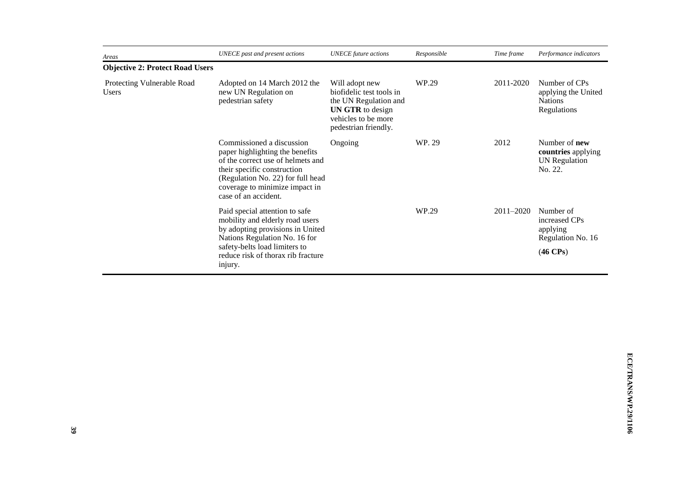| Areas                                                                                                                                                                                                                           | UNECE past and present actions                                                                                                                                                                                           | <b>UNECE</b> future actions                                                                                                                   | Responsible | Time frame    | Performance indicators                                                            |
|---------------------------------------------------------------------------------------------------------------------------------------------------------------------------------------------------------------------------------|--------------------------------------------------------------------------------------------------------------------------------------------------------------------------------------------------------------------------|-----------------------------------------------------------------------------------------------------------------------------------------------|-------------|---------------|-----------------------------------------------------------------------------------|
| <b>Objective 2: Protect Road Users</b>                                                                                                                                                                                          |                                                                                                                                                                                                                          |                                                                                                                                               |             |               |                                                                                   |
| Protecting Vulnerable Road<br>Users                                                                                                                                                                                             | Adopted on 14 March 2012 the<br>new UN Regulation on<br>pedestrian safety                                                                                                                                                | Will adopt new<br>biofidelic test tools in<br>the UN Regulation and<br><b>UN GTR</b> to design<br>vehicles to be more<br>pedestrian friendly. | WP.29       | 2011-2020     | Number of CPs<br>applying the United<br><b>Nations</b><br>Regulations             |
| Commissioned a discussion<br>paper highlighting the benefits<br>of the correct use of helmets and<br>their specific construction<br>(Regulation No. 22) for full head<br>coverage to minimize impact in<br>case of an accident. |                                                                                                                                                                                                                          | Ongoing                                                                                                                                       | WP. 29      | 2012          | Number of <b>new</b><br>countries applying<br><b>UN</b> Regulation<br>No. 22.     |
|                                                                                                                                                                                                                                 | Paid special attention to safe<br>mobility and elderly road users<br>by adopting provisions in United<br>Nations Regulation No. 16 for<br>safety-belts load limiters to<br>reduce risk of thorax rib fracture<br>injury. |                                                                                                                                               | WP.29       | $2011 - 2020$ | Number of<br>increased CPs<br>applying<br>Regulation No. 16<br>$(46 \text{ CPs})$ |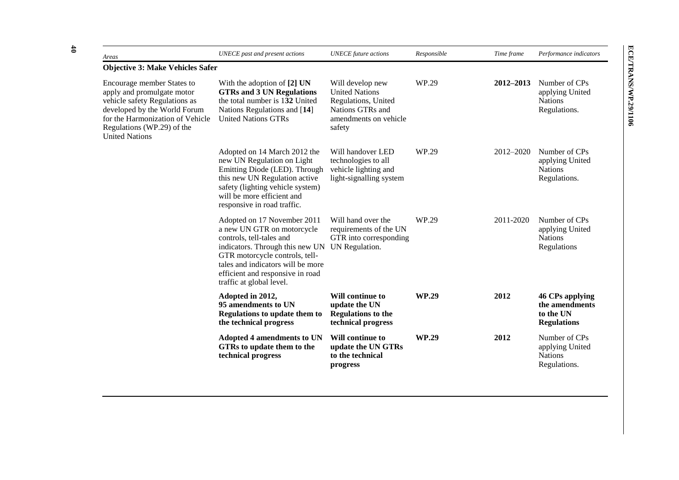| Areas                                                                                                                                                                                                                | UNECE past and present actions                                                                                                                                                                                                                                  | <b>UNECE</b> future actions                                                                                             | Responsible  | Time frame    | Performance indicators                                               |  |
|----------------------------------------------------------------------------------------------------------------------------------------------------------------------------------------------------------------------|-----------------------------------------------------------------------------------------------------------------------------------------------------------------------------------------------------------------------------------------------------------------|-------------------------------------------------------------------------------------------------------------------------|--------------|---------------|----------------------------------------------------------------------|--|
| <b>Objective 3: Make Vehicles Safer</b>                                                                                                                                                                              |                                                                                                                                                                                                                                                                 |                                                                                                                         |              |               |                                                                      |  |
| Encourage member States to<br>apply and promulgate motor<br>vehicle safety Regulations as<br>developed by the World Forum<br>for the Harmonization of Vehicle<br>Regulations (WP.29) of the<br><b>United Nations</b> | With the adoption of $[2]$ UN<br><b>GTRs and 3 UN Regulations</b><br>the total number is 132 United<br>Nations Regulations and [14]<br><b>United Nations GTRs</b>                                                                                               | Will develop new<br><b>United Nations</b><br>Regulations, United<br>Nations GTRs and<br>amendments on vehicle<br>safety | WP.29        | $2012 - 2013$ | Number of CPs<br>applying United<br><b>Nations</b><br>Regulations.   |  |
|                                                                                                                                                                                                                      | Adopted on 14 March 2012 the<br>new UN Regulation on Light<br>Emitting Diode (LED). Through<br>this new UN Regulation active<br>safety (lighting vehicle system)<br>will be more efficient and<br>responsive in road traffic.                                   | Will handover LED<br>technologies to all<br>vehicle lighting and<br>light-signalling system                             | WP.29        | 2012-2020     | Number of CPs<br>applying United<br><b>Nations</b><br>Regulations.   |  |
|                                                                                                                                                                                                                      | Adopted on 17 November 2011<br>a new UN GTR on motorcycle<br>controls, tell-tales and<br>indicators. Through this new UN<br>GTR motorcycle controls, tell-<br>tales and indicators will be more<br>efficient and responsive in road<br>traffic at global level. | Will hand over the<br>requirements of the UN<br>GTR into corresponding<br>UN Regulation.                                | WP.29        | 2011-2020     | Number of CPs<br>applying United<br><b>Nations</b><br>Regulations    |  |
|                                                                                                                                                                                                                      | Adopted in 2012,<br>95 amendments to UN<br>Regulations to update them to<br>the technical progress                                                                                                                                                              | Will continue to<br>update the UN<br><b>Regulations to the</b><br>technical progress                                    | <b>WP.29</b> | 2012          | 46 CPs applying<br>the amendments<br>to the UN<br><b>Regulations</b> |  |
|                                                                                                                                                                                                                      | <b>Adopted 4 amendments to UN</b><br>GTRs to update them to the<br>technical progress                                                                                                                                                                           | Will continue to<br>update the UN GTRs<br>to the technical<br>progress                                                  | <b>WP.29</b> | 2012          | Number of CPs<br>applying United<br><b>Nations</b><br>Regulations.   |  |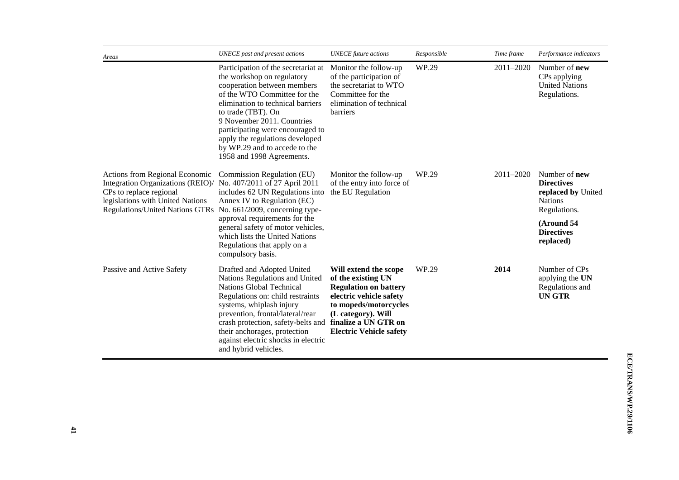| Areas                                                                                                                                                                                                      | UNECE past and present actions                                                                                                                                                                                                                                                                                                                                 | <b>UNECE</b> future actions                                                                                                                                                                                     | Responsible | Time frame    | Performance indicators                                                                                                                            |
|------------------------------------------------------------------------------------------------------------------------------------------------------------------------------------------------------------|----------------------------------------------------------------------------------------------------------------------------------------------------------------------------------------------------------------------------------------------------------------------------------------------------------------------------------------------------------------|-----------------------------------------------------------------------------------------------------------------------------------------------------------------------------------------------------------------|-------------|---------------|---------------------------------------------------------------------------------------------------------------------------------------------------|
|                                                                                                                                                                                                            | Participation of the secretariat at<br>the workshop on regulatory<br>cooperation between members<br>of the WTO Committee for the<br>elimination to technical barriers<br>to trade (TBT). On<br>9 November 2011. Countries<br>participating were encouraged to<br>apply the regulations developed<br>by WP.29 and to accede to the<br>1958 and 1998 Agreements. | Monitor the follow-up<br>of the participation of<br>the secretariat to WTO<br>Committee for the<br>elimination of technical<br><b>barriers</b>                                                                  | WP.29       | $2011 - 2020$ | Number of <b>new</b><br>CPs applying<br><b>United Nations</b><br>Regulations.                                                                     |
| Actions from Regional Economic<br>Integration Organizations (REIO)/ No. 407/2011 of 27 April 2011<br>CPs to replace regional<br>legislations with United Nations<br><b>Regulations/United Nations GTRs</b> | Commission Regulation (EU)<br>includes 62 UN Regulations into<br>Annex IV to Regulation (EC)<br>No. 661/2009, concerning type-<br>approval requirements for the<br>general safety of motor vehicles,<br>which lists the United Nations<br>Regulations that apply on a<br>compulsory basis.                                                                     | Monitor the follow-up<br>of the entry into force of<br>the EU Regulation                                                                                                                                        | WP.29       | 2011-2020     | Number of <b>new</b><br><b>Directives</b><br>replaced by United<br><b>Nations</b><br>Regulations.<br>(Around 54<br><b>Directives</b><br>replaced) |
| Passive and Active Safety                                                                                                                                                                                  | Drafted and Adopted United<br>Nations Regulations and United<br><b>Nations Global Technical</b><br>Regulations on: child restraints<br>systems, whiplash injury<br>prevention, frontal/lateral/rear<br>crash protection, safety-belts and<br>their anchorages, protection<br>against electric shocks in electric<br>and hybrid vehicles.                       | Will extend the scope<br>of the existing UN<br><b>Regulation on battery</b><br>electric vehicle safety<br>to mopeds/motorcycles<br>(L category). Will<br>finalize a UN GTR on<br><b>Electric Vehicle safety</b> | WP.29       | 2014          | Number of CPs<br>applying the UN<br>Regulations and<br>UN GTR                                                                                     |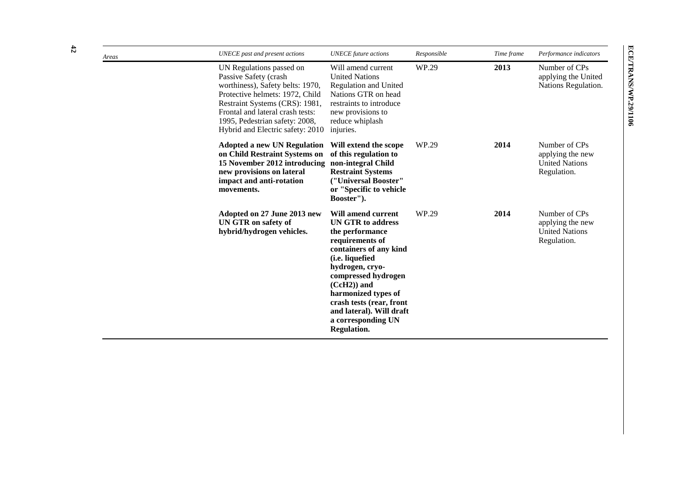| Areas | UNECE past and present actions                                                                                                                                                                                                                                       | <b>UNECE</b> future actions                                                                                                                                                                                                                                                                                              | Responsible | Time frame | Performance indicators                                                    |
|-------|----------------------------------------------------------------------------------------------------------------------------------------------------------------------------------------------------------------------------------------------------------------------|--------------------------------------------------------------------------------------------------------------------------------------------------------------------------------------------------------------------------------------------------------------------------------------------------------------------------|-------------|------------|---------------------------------------------------------------------------|
|       | UN Regulations passed on<br>Passive Safety (crash<br>worthiness), Safety belts: 1970,<br>Protective helmets: 1972, Child<br>Restraint Systems (CRS): 1981,<br>Frontal and lateral crash tests:<br>1995, Pedestrian safety: 2008,<br>Hybrid and Electric safety: 2010 | Will amend current<br><b>United Nations</b><br><b>Regulation and United</b><br>Nations GTR on head<br>restraints to introduce<br>new provisions to<br>reduce whiplash<br>injuries.                                                                                                                                       | WP.29       | 2013       | Number of CPs<br>applying the United<br>Nations Regulation.               |
|       | <b>Adopted a new UN Regulation</b><br>on Child Restraint Systems on<br>15 November 2012 introducing non-integral Child<br>new provisions on lateral<br>impact and anti-rotation<br>movements.                                                                        | Will extend the scope<br>of this regulation to<br><b>Restraint Systems</b><br>("Universal Booster"<br>or "Specific to vehicle<br>Booster").                                                                                                                                                                              | WP.29       | 2014       | Number of CPs<br>applying the new<br><b>United Nations</b><br>Regulation. |
|       | Adopted on 27 June 2013 new<br>UN GTR on safety of<br>hybrid/hydrogen vehicles.                                                                                                                                                                                      | Will amend current<br><b>UN GTR to address</b><br>the performance<br>requirements of<br>containers of any kind<br>(i.e. liquefied<br>hydrogen, cryo-<br>compressed hydrogen<br>$(CcH2)$ ) and<br>harmonized types of<br>crash tests (rear, front<br>and lateral). Will draft<br>a corresponding UN<br><b>Regulation.</b> | WP.29       | 2014       | Number of CPs<br>applying the new<br><b>United Nations</b><br>Regulation. |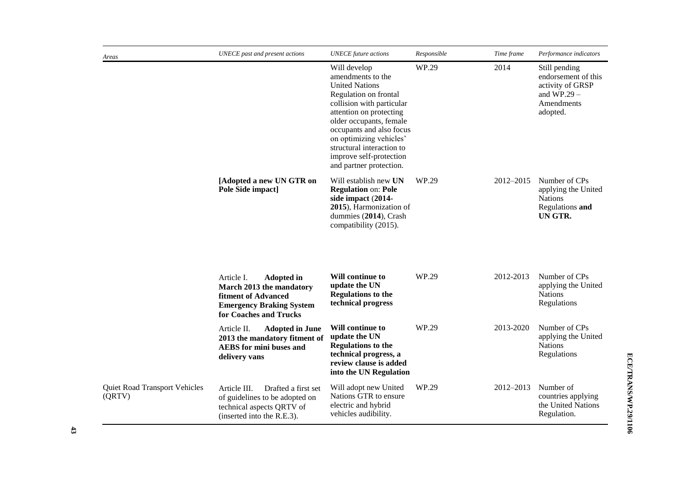| Areas                                   | <b>UNECE</b> past and present actions                                                                                                           | <b>UNECE</b> future actions                                                                                                                                                                                                                                                                                      | Responsible | Time frame | Performance indicators                                                                              |
|-----------------------------------------|-------------------------------------------------------------------------------------------------------------------------------------------------|------------------------------------------------------------------------------------------------------------------------------------------------------------------------------------------------------------------------------------------------------------------------------------------------------------------|-------------|------------|-----------------------------------------------------------------------------------------------------|
|                                         |                                                                                                                                                 | Will develop<br>amendments to the<br><b>United Nations</b><br>Regulation on frontal<br>collision with particular<br>attention on protecting<br>older occupants, female<br>occupants and also focus<br>on optimizing vehicles'<br>structural interaction to<br>improve self-protection<br>and partner protection. | WP.29       | 2014       | Still pending<br>endorsement of this<br>activity of GRSP<br>and $WP.29 -$<br>Amendments<br>adopted. |
|                                         | [Adopted a new UN GTR on<br>Pole Side impact]                                                                                                   | Will establish new UN<br><b>Regulation on: Pole</b><br>side impact (2014-<br>2015), Harmonization of<br>dummies (2014), Crash<br>compatibility (2015).                                                                                                                                                           | WP.29       | 2012-2015  | Number of CPs<br>applying the United<br><b>Nations</b><br>Regulations and<br>UN GTR.                |
|                                         | Article I.<br><b>Adopted in</b><br>March 2013 the mandatory<br>fitment of Advanced<br><b>Emergency Braking System</b><br>for Coaches and Trucks | Will continue to<br>update the UN<br><b>Regulations to the</b><br>technical progress                                                                                                                                                                                                                             | WP.29       | 2012-2013  | Number of CPs<br>applying the United<br><b>Nations</b><br>Regulations                               |
|                                         | Article II.<br><b>Adopted in June</b><br>2013 the mandatory fitment of<br><b>AEBS</b> for mini buses and<br>delivery vans                       | Will continue to<br>update the UN<br><b>Regulations to the</b><br>technical progress, a<br>review clause is added<br>into the UN Regulation                                                                                                                                                                      | WP.29       | 2013-2020  | Number of CPs<br>applying the United<br><b>Nations</b><br>Regulations                               |
| Quiet Road Transport Vehicles<br>(QRTV) | Article III.<br>Drafted a first set<br>of guidelines to be adopted on<br>technical aspects QRTV of<br>(inserted into the R.E.3).                | Will adopt new United<br>Nations GTR to ensure<br>electric and hybrid<br>vehicles audibility.                                                                                                                                                                                                                    | WP.29       | 2012–2013  | Number of<br>countries applying<br>the United Nations<br>Regulation.                                |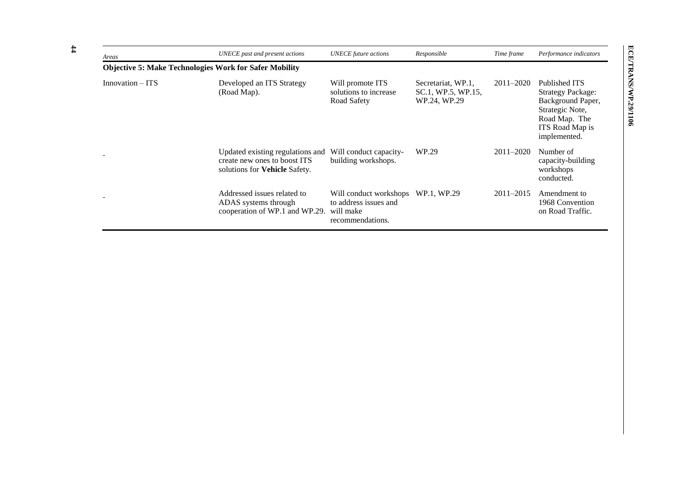| Areas            | UNECE past and present actions                                                                    | <b>UNECE</b> future actions                                                      | Responsible                                              | Time frame    | Performance indicators                                                                                                                |
|------------------|---------------------------------------------------------------------------------------------------|----------------------------------------------------------------------------------|----------------------------------------------------------|---------------|---------------------------------------------------------------------------------------------------------------------------------------|
|                  | <b>Objective 5: Make Technologies Work for Safer Mobility</b>                                     |                                                                                  |                                                          |               |                                                                                                                                       |
| Innovation – ITS | Developed an ITS Strategy<br>(Road Map).                                                          | Will promote ITS<br>solutions to increase<br>Road Safety                         | Secretariat, WP.1,<br>SC.1, WP.5, WP.15,<br>WP.24, WP.29 | $2011 - 2020$ | Published ITS<br><b>Strategy Package:</b><br>Background Paper,<br>Strategic Note,<br>Road Map. The<br>ITS Road Map is<br>implemented. |
|                  | Updated existing regulations and<br>create new ones to boost ITS<br>solutions for Vehicle Safety. | Will conduct capacity-<br>building workshops.                                    | WP.29                                                    | 2011-2020     | Number of<br>capacity-building<br>workshops<br>conducted.                                                                             |
|                  | Addressed issues related to<br>ADAS systems through<br>cooperation of WP.1 and WP.29.             | Will conduct workshops<br>to address issues and<br>will make<br>recommendations. | WP.1, WP.29                                              | $2011 - 2015$ | Amendment to<br>1968 Convention<br>on Road Traffic.                                                                                   |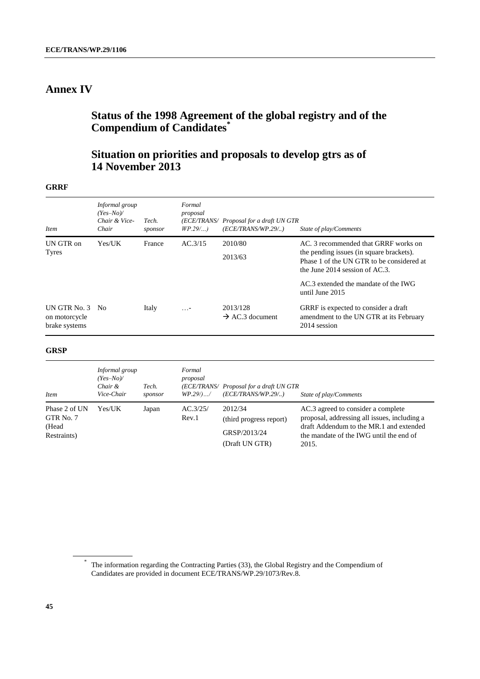# <span id="page-44-0"></span>**Annex IV**

# <span id="page-44-1"></span>**Status of the 1998 Agreement of the global registry and of the Compendium of Candidates\***

# **Situation on priorities and proposals to develop gtrs as of 14 November 2013**

### **GRRF**

| <i>Item</i>                                       | Informal group<br>$(Yes-No)$<br>Chair & Vice-<br>Chair | Tech.<br>sponsor | Formal<br>proposal<br>$WP.29$ | (ECE/TRANS/ Proposal for a draft UN GTR<br>(ECE/TRANS/WP.29/) | State of play/Comments                                                                                                        |
|---------------------------------------------------|--------------------------------------------------------|------------------|-------------------------------|---------------------------------------------------------------|-------------------------------------------------------------------------------------------------------------------------------|
| UN GTR on<br>Tyres                                | Yes/UK                                                 | France           | AC.3/15                       | 2010/80<br>2013/63                                            | AC. 3 recommended that GRRF works on<br>the pending issues (in square brackets).<br>Phase 1 of the UN GTR to be considered at |
|                                                   |                                                        |                  |                               |                                                               | the June $2014$ session of AC.3.<br>$AC.3$ extended the mandate of the IWG<br>until June 2015                                 |
| UN GTR No. 3 No<br>on motorcycle<br>brake systems |                                                        | Italy            | $\ldots$ -                    | 2013/128<br>$\rightarrow$ AC.3 document                       | GRRF is expected to consider a draft<br>amendment to the UN GTR at its February<br>2014 session                               |

### **GRSP**

| <i>Item</i>                                        | Informal group<br>$Yes-No$<br>Chair &<br>Vice-Chair | Tech.<br>sponsor | Formal<br>proposal<br>$WP.29/$ / | (ECE/TRANS/ Proposal for a draft UN GTR<br>(ECE/TRANS/WP.29/)        | State of play/Comments                                                                                                                                                            |
|----------------------------------------------------|-----------------------------------------------------|------------------|----------------------------------|----------------------------------------------------------------------|-----------------------------------------------------------------------------------------------------------------------------------------------------------------------------------|
| Phase 2 of UN<br>GTR No. 7<br>(Head<br>Restraints) | Yes/UK                                              | Japan            | AC.3/25/<br>Rev.1                | 2012/34<br>(third progress report)<br>GRSP/2013/24<br>(Draft UN GTR) | AC.3 agreed to consider a complete<br>proposal, addressing all issues, including a<br>draft Addendum to the MR.1 and extended<br>the mandate of the IWG until the end of<br>2015. |

<sup>\*</sup> The information regarding the Contracting Parties (33), the Global Registry and the Compendium of Candidates are provided in document ECE/TRANS/WP.29/1073/Rev.8.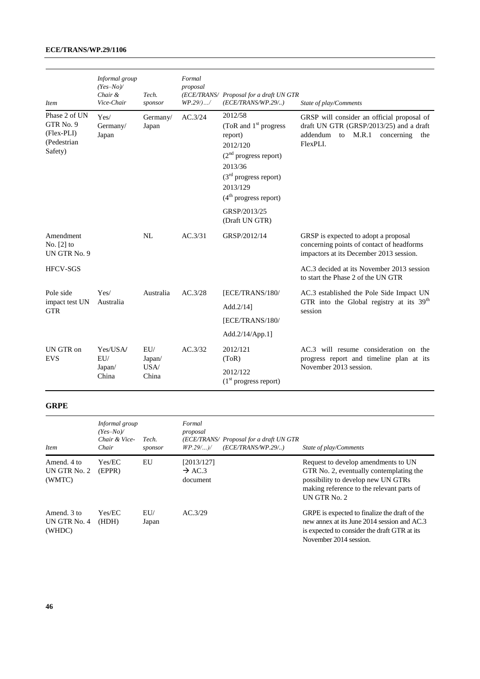### **ECE/TRANS/WP.29/1106**

| <b>Item</b>                                                        | Informal group<br>$(Yes-No)$<br>Chair $\&$<br>Vice-Chair | Tech.<br>sponsor  | Formal<br>proposal<br>$WP.29/)$ / | (ECE/TRANS/ Proposal for a draft UN GTR<br>(ECE/TRANS/WP.29/)                                                                                                     | State of play/Comments                                                                                                                      |
|--------------------------------------------------------------------|----------------------------------------------------------|-------------------|-----------------------------------|-------------------------------------------------------------------------------------------------------------------------------------------------------------------|---------------------------------------------------------------------------------------------------------------------------------------------|
| Phase 2 of UN<br>GTR No. 9<br>(Flex-PLI)<br>(Pedestrian<br>Safety) | Yes/<br>Germany/<br>Japan                                | Germany/<br>Japan | AC.3/24                           | 2012/58<br>(ToR and $1st$ progress<br>report)<br>2012/120<br>$(2nd$ progress report)<br>2013/36<br>$(3rd$ progress report)<br>2013/129<br>$(4th$ progress report) | GRSP will consider an official proposal of<br>draft UN GTR (GRSP/2013/25) and a draft<br>addendum to M.R.1<br>concerning<br>the<br>FlexPLI. |
|                                                                    |                                                          |                   |                                   | GRSP/2013/25<br>(Draft UN GTR)                                                                                                                                    |                                                                                                                                             |
| Amendment<br>No. $[2]$ to<br>UN GTR No. 9                          |                                                          | NL                | AC.3/31                           | GRSP/2012/14                                                                                                                                                      | GRSP is expected to adopt a proposal<br>concerning points of contact of headforms<br>impactors at its December 2013 session.                |
| <b>HFCV-SGS</b>                                                    |                                                          |                   |                                   |                                                                                                                                                                   | AC.3 decided at its November 2013 session<br>to start the Phase 2 of the UN GTR                                                             |
| Pole side                                                          | Yes/                                                     | Australia         | AC.3/28                           | [ECE/TRANS/180/                                                                                                                                                   | AC.3 established the Pole Side Impact UN                                                                                                    |
| impact test UN<br><b>GTR</b>                                       | Australia                                                |                   |                                   | Add. $2/14$ ]                                                                                                                                                     | GTR into the Global registry at its 39 <sup>th</sup><br>session                                                                             |
|                                                                    |                                                          |                   |                                   | [ECE/TRANS/180/                                                                                                                                                   |                                                                                                                                             |
|                                                                    |                                                          |                   |                                   | Add. $2/14/App.1$ ]                                                                                                                                               |                                                                                                                                             |
| UN GTR on<br><b>EVS</b>                                            | Yes/USA/<br>EU/                                          | EU/<br>Japan/     | AC.3/32                           | 2012/121<br>(ToR)                                                                                                                                                 | AC.3 will resume consideration on the<br>progress report and timeline plan at its                                                           |
|                                                                    | Japan/<br>China                                          | USA/<br>China     |                                   | 2012/122<br>$(1st$ progress report)                                                                                                                               | November 2013 session.                                                                                                                      |

### **GRPE**

| <i>Item</i>                           | Informal group<br>$(Yes-No)$<br>Chair & Vice-<br>Chair | Tech.<br>sponsor | Formal<br>proposal<br>(ECE/TRANS/ Proposal for a draft UN GTR<br>(ECE/TRANS/WP.29/)<br>$WP.29/$ )/ | State of play/Comments                                                                                                                                                            |
|---------------------------------------|--------------------------------------------------------|------------------|----------------------------------------------------------------------------------------------------|-----------------------------------------------------------------------------------------------------------------------------------------------------------------------------------|
| Amend, 4 to<br>UN GTR No. 2<br>(WMTC) | Yes/EC<br>(EPPR)                                       | EU               | [2013/127]<br>$\rightarrow$ AC.3<br>document                                                       | Request to develop amendments to UN<br>GTR No. 2, eventually contemplating the<br>possibility to develop new UN GTRs<br>making reference to the relevant parts of<br>UN GTR No. 2 |
| Amend, 3 to<br>UN GTR No. 4<br>(WHDC) | Yes/EC<br>(HDH)                                        | EUI/<br>Japan    | AC.3/29                                                                                            | GRPE is expected to finalize the draft of the<br>new annex at its June 2014 session and AC.3<br>is expected to consider the draft GTR at its<br>November 2014 session.            |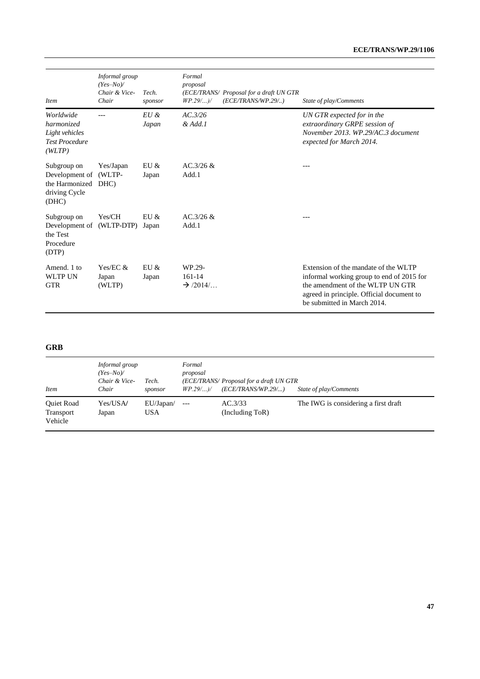| <b>Item</b>                                                                  | Informal group<br>$(Yes-No)$<br>Chair & Vice-<br>Chair | Tech.<br>sponsor | Formal<br>proposal<br>(ECE/TRANS/ Proposal for a draft UN GTR<br>(ECE/TRANS/WP.29/)<br>WP.29/)/ | State of play/Comments                                                                                                                                                                            |
|------------------------------------------------------------------------------|--------------------------------------------------------|------------------|-------------------------------------------------------------------------------------------------|---------------------------------------------------------------------------------------------------------------------------------------------------------------------------------------------------|
| Worldwide<br>harmonized<br>Light vehicles<br><b>Test Procedure</b><br>(WLTP) |                                                        | $EU \&$<br>Japan | AC.3/26<br>& Add.1                                                                              | UN GTR expected for in the<br>extraordinary GRPE session of<br>November 2013, WP.29/AC.3 document<br>expected for March 2014.                                                                     |
| Subgroup on<br>Development of<br>the Harmonized<br>driving Cycle<br>(DHC)    | Yes/Japan<br>(WLTP-<br>DHC)                            | EU &<br>Japan    | $AC.3/26 \&$<br>Add.1                                                                           | ---                                                                                                                                                                                               |
| Subgroup on<br>Development of (WLTP-DTP)<br>the Test<br>Procedure<br>(DTP)   | Yes/CH                                                 | EU &<br>Japan    | AC.3/26 &<br>Add.1                                                                              | ---                                                                                                                                                                                               |
| Amend. 1 to<br><b>WLTP UN</b><br><b>GTR</b>                                  | Yes/EC $&$<br>Japan<br>(WLTP)                          | EU &<br>Japan    | WP.29-<br>161-14<br>$\rightarrow$ /2014/ $\ldots$                                               | Extension of the mandate of the WLTP<br>informal working group to end of 2015 for<br>the amendment of the WLTP UN GTR<br>agreed in principle. Official document to<br>be submitted in March 2014. |

### **GRB**

| <b>Item</b>                               | Informal group<br>$(Yes-No)$<br>Chair & Vice-<br>Chair | Tech.<br>sponsor        | Formal<br>proposal<br>$WP.29/$ )/ | (ECE/TRANS/ Proposal for a draft UN GTR<br>(ECE/TRANS/WP.29/) | State of play/Comments               |
|-------------------------------------------|--------------------------------------------------------|-------------------------|-----------------------------------|---------------------------------------------------------------|--------------------------------------|
| <b>Ouiet Road</b><br>Transport<br>Vehicle | Yes/USA/<br>Japan                                      | EU/Japan/<br><b>USA</b> | $---$                             | AC.3/33<br>(Including ToR)                                    | The IWG is considering a first draft |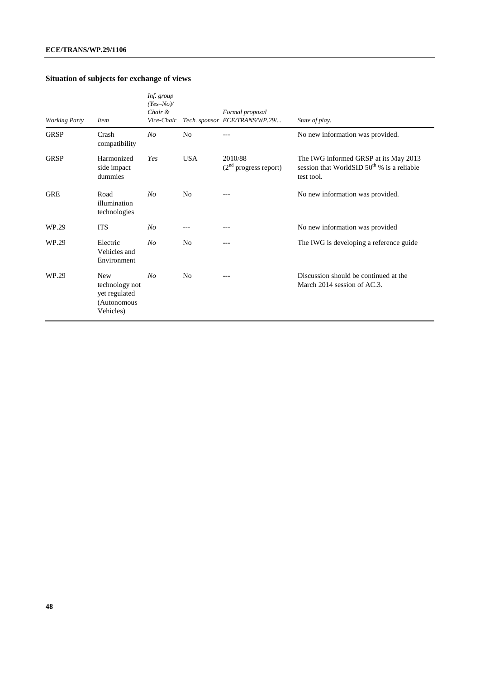# **Situation of subjects for exchange of views**

| <b>Working Party</b> | <i>Item</i>                                                               | Inf. group<br>$(Yes-No)$<br>Chair &<br>Vice-Chair |                | Formal proposal<br>Tech. sponsor ECE/TRANS/WP.29/ | State of play.                                                                                         |
|----------------------|---------------------------------------------------------------------------|---------------------------------------------------|----------------|---------------------------------------------------|--------------------------------------------------------------------------------------------------------|
| <b>GRSP</b>          | Crash<br>compatibility                                                    | N <sub>O</sub>                                    | N <sub>0</sub> |                                                   | No new information was provided.                                                                       |
| <b>GRSP</b>          | Harmonized<br>side impact<br>dummies                                      | Yes                                               | <b>USA</b>     | 2010/88<br>$(2nd$ progress report)                | The IWG informed GRSP at its May 2013<br>session that WorldSID $50^{th}$ % is a reliable<br>test tool. |
| <b>GRE</b>           | Road<br>illumination<br>technologies                                      | No                                                | N <sub>0</sub> | $---$                                             | No new information was provided.                                                                       |
| WP.29                | <b>ITS</b>                                                                | N <sub>O</sub>                                    |                |                                                   | No new information was provided                                                                        |
| WP.29                | Electric<br>Vehicles and<br>Environment                                   | N <sub>O</sub>                                    | N <sub>0</sub> | ---                                               | The IWG is developing a reference guide                                                                |
| WP.29                | <b>New</b><br>technology not<br>yet regulated<br>(Autonomous<br>Vehicles) | N <sub>O</sub>                                    | N <sub>0</sub> | $---$                                             | Discussion should be continued at the<br>March 2014 session of AC.3.                                   |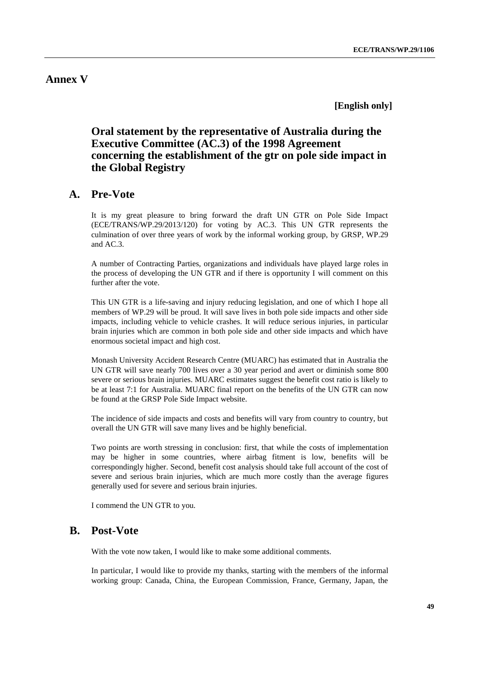## <span id="page-48-0"></span>**Annex V**

**[English only]**

# <span id="page-48-1"></span>**Oral statement by the representative of Australia during the Executive Committee (AC.3) of the 1998 Agreement concerning the establishment of the gtr on pole side impact in the Global Registry**

## **A. Pre-Vote**

It is my great pleasure to bring forward the draft UN GTR on Pole Side Impact (ECE/TRANS/WP.29/2013/120) for voting by AC.3. This UN GTR represents the culmination of over three years of work by the informal working group, by GRSP, WP.29 and AC.3.

A number of Contracting Parties, organizations and individuals have played large roles in the process of developing the UN GTR and if there is opportunity I will comment on this further after the vote.

This UN GTR is a life-saving and injury reducing legislation, and one of which I hope all members of WP.29 will be proud. It will save lives in both pole side impacts and other side impacts, including vehicle to vehicle crashes. It will reduce serious injuries, in particular brain injuries which are common in both pole side and other side impacts and which have enormous societal impact and high cost.

Monash University Accident Research Centre (MUARC) has estimated that in Australia the UN GTR will save nearly 700 lives over a 30 year period and avert or diminish some 800 severe or serious brain injuries. MUARC estimates suggest the benefit cost ratio is likely to be at least 7:1 for Australia. MUARC final report on the benefits of the UN GTR can now be found at the GRSP Pole Side Impact website.

The incidence of side impacts and costs and benefits will vary from country to country, but overall the UN GTR will save many lives and be highly beneficial.

Two points are worth stressing in conclusion: first, that while the costs of implementation may be higher in some countries, where airbag fitment is low, benefits will be correspondingly higher. Second, benefit cost analysis should take full account of the cost of severe and serious brain injuries, which are much more costly than the average figures generally used for severe and serious brain injuries.

I commend the UN GTR to you.

### **B. Post-Vote**

With the vote now taken, I would like to make some additional comments.

In particular, I would like to provide my thanks, starting with the members of the informal working group: Canada, China, the European Commission, France, Germany, Japan, the